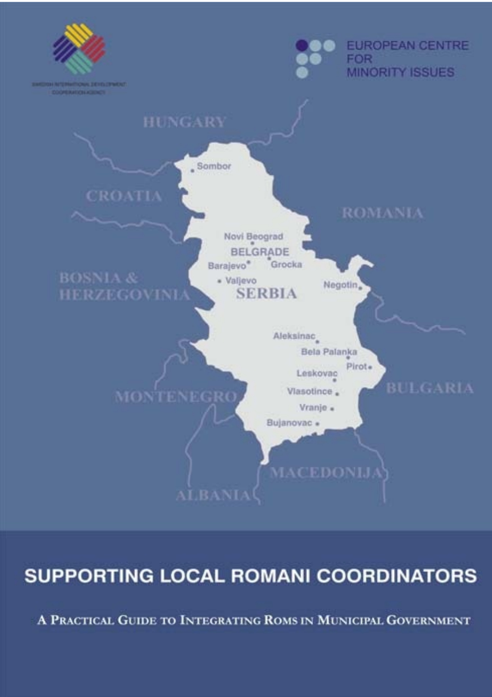

# **SUPPORTING LOCAL ROMANI COORDINATORS**

A PRACTICAL GUIDE TO INTEGRATING ROMS IN MUNICIPAL GOVERNMENT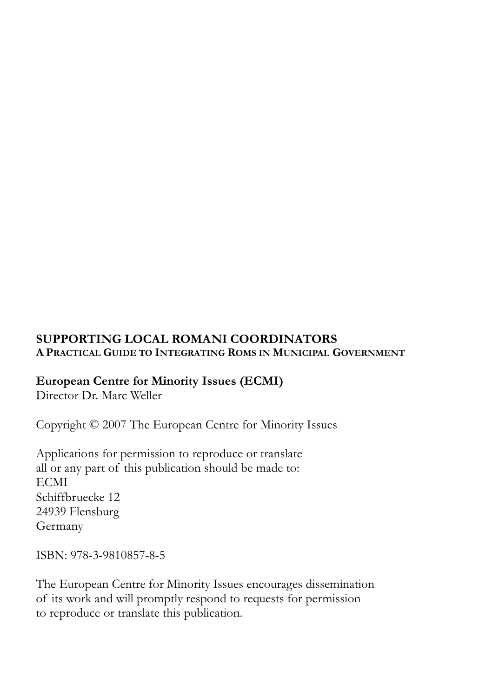#### **SUPPORTING LOCAL ROMANI COORDINATORS A PRACTICAL GUIDE TO INTEGRATING ROMS IN MUNICIPAL GOVERNMENT**

#### **European Centre for Minority Issues (ECMI)**

Director Dr. Marc Weller

Copyright © 2007 The European Centre for Minority Issues

Applications for permission to reproduce or translate all or any part of this publication should be made to: **ECMI** Schiffbruecke 12 24939 Flensburg Germany

ISBN: 978-3-9810857-8-5

The European Centre for Minority Issues encourages dissemination of its work and will promptly respond to requests for permission to reproduce or translate this publication.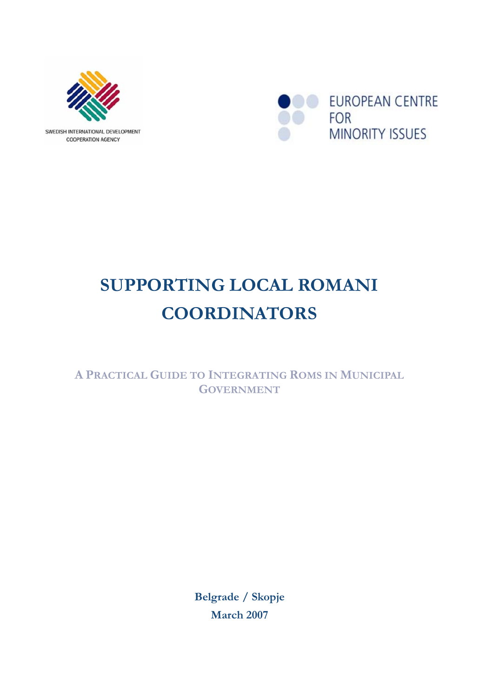



# **SUPPORTING LOCAL ROMANI COORDINATORS**

**A PRACTICAL GUIDE TO INTEGRATING ROMS IN MUNICIPAL GOVERNMENT**

> **Belgrade / Skopje March 2007**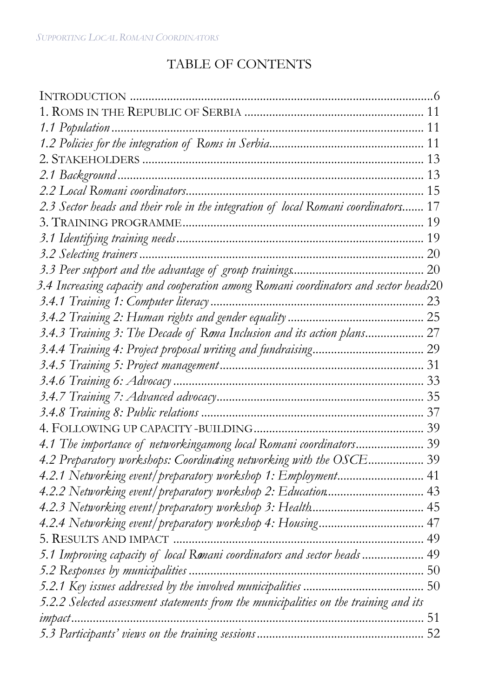### TABLE OF CONTENTS

| 2.3 Sector heads and their role in the integration of local Romani coordinators 17   |  |
|--------------------------------------------------------------------------------------|--|
|                                                                                      |  |
|                                                                                      |  |
|                                                                                      |  |
|                                                                                      |  |
| 3.4 Increasing capacity and cooperation among Romani coordinators and sector heads20 |  |
|                                                                                      |  |
|                                                                                      |  |
| 3.4.3 Training 3: The Decade of Roma Inclusion and its action plans 27               |  |
|                                                                                      |  |
|                                                                                      |  |
|                                                                                      |  |
|                                                                                      |  |
|                                                                                      |  |
|                                                                                      |  |
| 4.1 The importance of networkingamong local Romani coordinators 39                   |  |
| 4.2 Preparatory workshops: Coordinating networking with the OSCE 39                  |  |
| 4.2.1 Networking event/ preparatory workshop 1: Employment 41                        |  |
| 4.2.2 Networking event/preparatory workshop 2: Education 43                          |  |
|                                                                                      |  |
| 4.2.4 Networking event/preparatory workshop 4: Housing 47                            |  |
|                                                                                      |  |
| 5.1 Improving capacity of local Ronani coordinators and sector heads 49              |  |
|                                                                                      |  |
|                                                                                      |  |
| 5.2.2 Selected assessment statements from the municipalities on the training and its |  |
|                                                                                      |  |
|                                                                                      |  |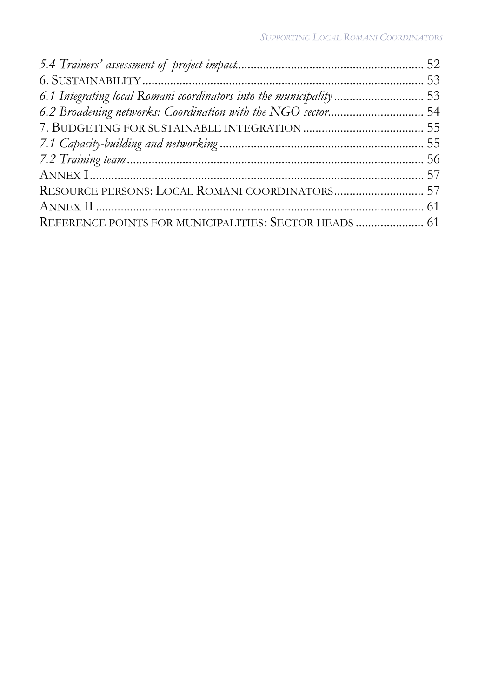| 6.1 Integrating local Romani coordinators into the municipality  53 |  |
|---------------------------------------------------------------------|--|
| 6.2 Broadening networks: Coordination with the NGO sector 54        |  |
|                                                                     |  |
|                                                                     |  |
|                                                                     |  |
|                                                                     |  |
| RESOURCE PERSONS: LOCAL ROMANI COORDINATORS 57                      |  |
|                                                                     |  |
| REFERENCE POINTS FOR MUNICIPALITIES: SECTOR HEADS  61               |  |
|                                                                     |  |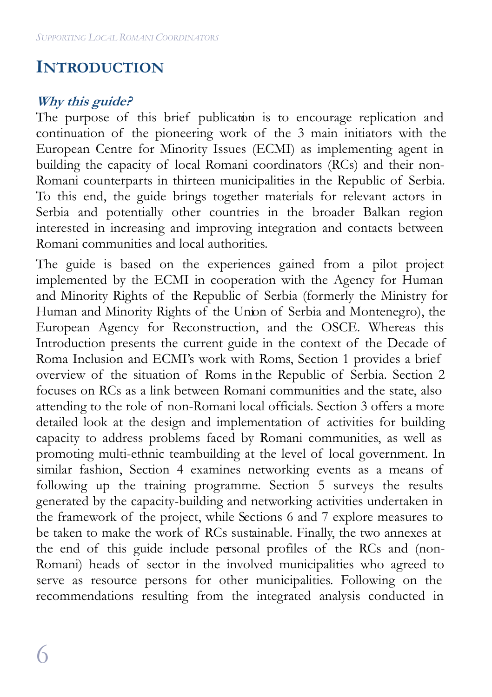## **INTRODUCTION**

### **Why this guide?**

The purpose of this brief publication is to encourage replication and continuation of the pioneering work of the 3 main initiators with the European Centre for Minority Issues (ECMI) as implementing agent in building the capacity of local Romani coordinators (RCs) and their non-Romani counterparts in thirteen municipalities in the Republic of Serbia. To this end, the guide brings together materials for relevant actors in Serbia and potentially other countries in the broader Balkan region interested in increasing and improving integration and contacts between Romani communities and local authorities.

The guide is based on the experiences gained from a pilot project implemented by the ECMI in cooperation with the Agency for Human and Minority Rights of the Republic of Serbia (formerly the Ministry for Human and Minority Rights of the Union of Serbia and Montenegro), the European Agency for Reconstruction, and the OSCE. Whereas this Introduction presents the current guide in the context of the Decade of Roma Inclusion and ECMI's work with Roms, Section 1 provides a brief overview of the situation of Roms in the Republic of Serbia. Section 2 focuses on RCs as a link between Romani communities and the state, also attending to the role of non-Romani local officials. Section 3 offers a more detailed look at the design and implementation of activities for building capacity to address problems faced by Romani communities, as well as promoting multi-ethnic teambuilding at the level of local government. In similar fashion, Section 4 examines networking events as a means of following up the training programme. Section 5 surveys the results generated by the capacity-building and networking activities undertaken in the framework of the project, while Sections 6 and 7 explore measures to be taken to make the work of RCs sustainable. Finally, the two annexes at the end of this guide include personal profiles of the RCs and (non-Romani) heads of sector in the involved municipalities who agreed to serve as resource persons for other municipalities. Following on the recommendations resulting from the integrated analysis conducted in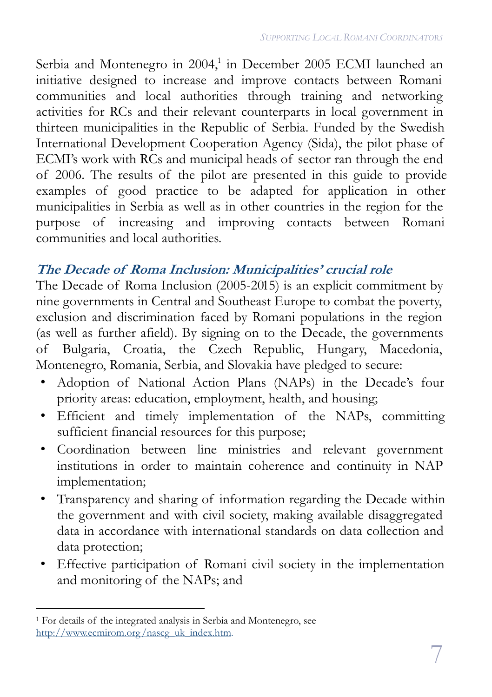Serbia and Montenegro in 2004,<sup>1</sup> in December 2005 ECMI launched an initiative designed to increase and improve contacts between Romani communities and local authorities through training and networking activities for RCs and their relevant counterparts in local government in thirteen municipalities in the Republic of Serbia. Funded by the Swedish International Development Cooperation Agency (Sida), the pilot phase of ECMI's work with RCs and municipal heads of sector ran through the end of 2006. The results of the pilot are presented in this guide to provide examples of good practice to be adapted for application in other municipalities in Serbia as well as in other countries in the region for the purpose of increasing and improving contacts between Romani communities and local authorities.

#### **The Decade of Roma Inclusion: Municipalities' crucial role**

The Decade of Roma Inclusion  $(2005-2015)$  is an explicit commitment by nine governments in Central and Southeast Europe to combat the poverty, exclusion and discrimination faced by Romani populations in the region (as well as further afield). By signing on to the Decade, the governments of Bulgaria, Croatia, the Czech Republic, Hungary, Macedonia, Montenegro, Romania, Serbia, and Slovakia have pledged to secure:

- Adoption of National Action Plans (NAPs) in the Decade's four priority areas: education, employment, health, and housing;
- Efficient and timely implementation of the NAPs, committing sufficient financial resources for this purpose;
- Coordination between line ministries and relevant government institutions in order to maintain coherence and continuity in NAP implementation;
- Transparency and sharing of information regarding the Decade within the government and with civil society, making available disaggregated data in accordance with international standards on data collection and data protection;
- Effective participation of Romani civil society in the implementation and monitoring of the NAPs; and

 $\overline{a}$ <sup>1</sup> For details of the integrated analysis in Serbia and Montenegro, see http://www.ecmirom.org/nascg\_uk\_index.htm.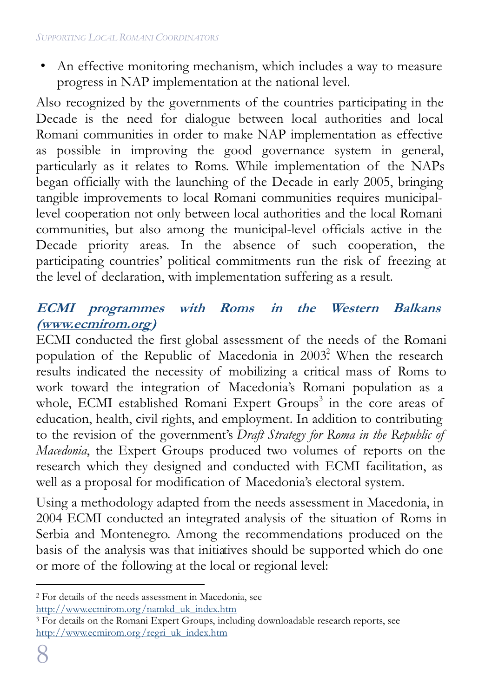• An effective monitoring mechanism, which includes a way to measure progress in NAP implementation at the national level.

Also recognized by the governments of the countries participating in the Decade is the need for dialogue between local authorities and local Romani communities in order to make NAP implementation as effective as possible in improving the good governance system in general, particularly as it relates to Roms. While implementation of the NAPs began officially with the launching of the Decade in early 2005, bringing tangible improvements to local Romani communities requires municipallevel cooperation not only between local authorities and the local Romani communities, but also among the municipal-level officials active in the Decade priority areas. In the absence of such cooperation, the participating countries' political commitments run the risk of freezing at the level of declaration, with implementation suffering as a result.

#### **ECMI programmes with Roms in the Western Balkans (www.ecmirom.org)**

ECMI conducted the first global assessment of the needs of the Romani population of the Republic of Macedonia in  $2003$ <sup>2</sup>. When the research results indicated the necessity of mobilizing a critical mass of Roms to work toward the integration of Macedonia's Romani population as a whole, ECMI established Romani Expert Groups<sup>3</sup> in the core areas of education, health, civil rights, and employment. In addition to contributing to the revision of the government's *Draft Strategy for Roma in the Republic of Macedonia*, the Expert Groups produced two volumes of reports on the research which they designed and conducted with ECMI facilitation, as well as a proposal for modification of Macedonia's electoral system.

Using a methodology adapted from the needs assessment in Macedonia, in 2004 ECMI conducted an integrated analysis of the situation of Roms in Serbia and Montenegro. Among the recommendations produced on the basis of the analysis was that initiatives should be supported which do one or more of the following at the local or regional level:

 $\overline{a}$ <sup>2</sup> For details of the needs assessment in Macedonia, see http://www.ecmirom.org/namkd\_uk\_index.htm

<sup>&</sup>lt;sup>3</sup> For details on the Romani Expert Groups, including downloadable research reports, see http://www.ecmirom.org/regri\_uk\_index.htm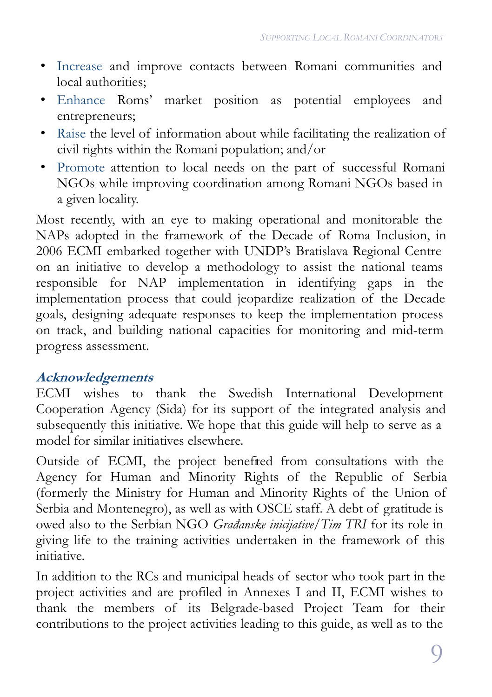- Increase and improve contacts between Romani communities and local authorities;
- Enhance Roms' market position as potential employees and entrepreneurs;
- Raise the level of information about while facilitating the realization of civil rights within the Romani population; and/or
- Promote attention to local needs on the part of successful Romani NGOs while improving coordination among Romani NGOs based in a given locality.

Most recently, with an eye to making operational and monitorable the NAPs adopted in the framework of the Decade of Roma Inclusion, in 2006 ECMI embarked together with UNDP's Bratislava Regional Centre on an initiative to develop a methodology to assist the national teams responsible for NAP implementation in identifying gaps in the implementation process that could jeopardize realization of the Decade goals, designing adequate responses to keep the implementation process on track, and building national capacities for monitoring and mid-term progress assessment.

#### **Acknowledgements**

ECMI wishes to thank the Swedish International Development Cooperation Agency (Sida) for its support of the integrated analysis and subsequently this initiative. We hope that this guide will help to serve as a model for similar initiatives elsewhere.

Outside of ECMI, the project benefited from consultations with the Agency for Human and Minority Rights of the Republic of Serbia (formerly the Ministry for Human and Minority Rights of the Union of Serbia and Montenegro), as well as with OSCE staff. A debt of gratitude is owed also to the Serbian NGO *Građanske inicijative/Tim TRI* for its role in giving life to the training activities undertaken in the framework of this initiative.

In addition to the RCs and municipal heads of sector who took part in the project activities and are profiled in Annexes I and II, ECMI wishes to thank the members of its Belgrade-based Project Team for their contributions to the project activities leading to this guide, as well as to the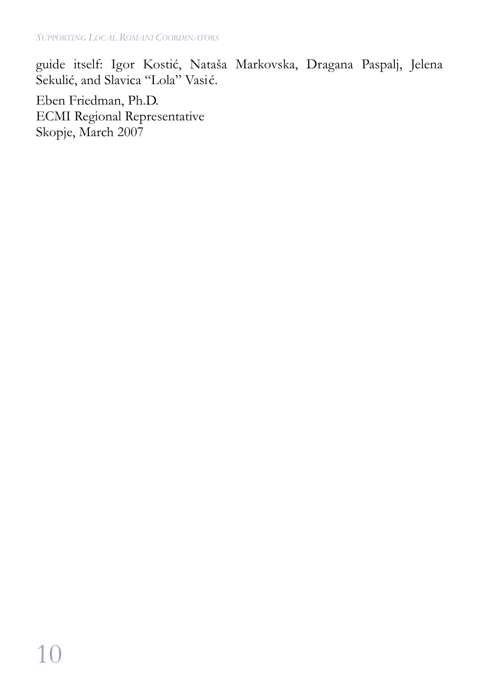guide itself: Igor Kostić, Nataša Markovska, Dragana Paspalj, Jelena Sekulić, and Slavica "Lola" Vasić.

Eben Friedman, Ph.D. ECMI Regional Representative Skopje, March 2007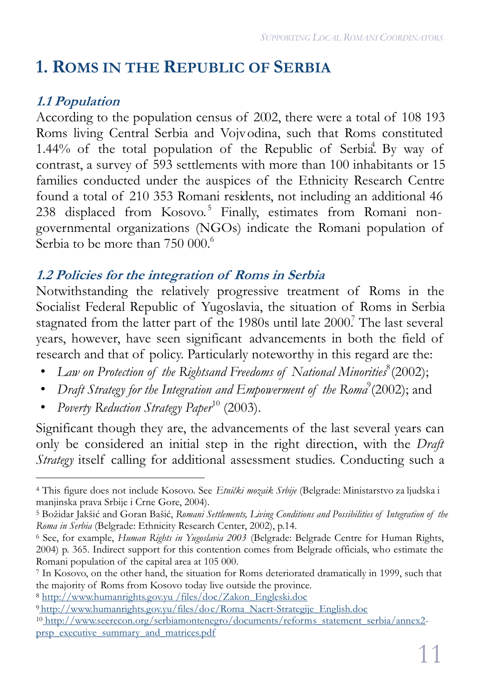# **1. ROMS IN THE REPUBLIC OF SERBIA**

### **1.1 Population**

According to the population census of 2002, there were a total of 108 193 Roms living Central Serbia and Vojvodina, such that Roms constituted 1.44% of the total population of the Republic of Serbia. By way of contrast, a survey of 593 settlements with more than 100 inhabitants or 15 families conducted under the auspices of the Ethnicity Research Centre found a total of 210 353 Romani residents, not including an additional 46 238 displaced from Kosovo. <sup>5</sup> Finally, estimates from Romani nongovernmental organizations (NGOs) indicate the Romani population of Serbia to be more than  $750\ 000^\circ$ .

#### **1.2 Policies for the integration of Roms in Serbia**

Notwithstanding the relatively progressive treatment of Roms in the Socialist Federal Republic of Yugoslavia, the situation of Roms in Serbia stagnated from the latter part of the 1980s until late 2000.<sup>7</sup> The last several years, however, have seen significant advancements in both the field of research and that of policy. Particularly noteworthy in this regard are the:

- Law on Protection of the Rightsand Freedoms of National Minorities<sup>8</sup> (2002);
- Draft Strategy for the Integration and Empowerment of the Roma<sup>9</sup> (2002); and
- *Poverty Reduction Strategy Paper*<sup>10</sup> (2003).

Significant though they are, the advancements of the last several years can only be considered an initial step in the right direction, with the *Draft Strategy* itself calling for additional assessment studies. Conducting such a

 $\overline{a}$ <sup>4</sup> This figure does not include Kosovo. See *Etnički mozaik Srbije* (Belgrade: Ministarstvo za ljudska i manjinska prava Srbije i Crne Gore, 2004).

<sup>5</sup> Božidar Jakšić and Goran Bašić, *Romani Settlements, Living Conditions and Possibilities of Integration of the Roma in Serbia* (Belgrade: Ethnicity Research Center, 2002), p.14.

<sup>6</sup> See, for example, *Human Rights in Yugoslavia 2003* (Belgrade: Belgrade Centre for Human Rights, 2004) p. 365. Indirect support for this contention comes from Belgrade officials, who estimate the Romani population of the capital area at 105 000.

<sup>7</sup> In Kosovo, on the other hand, the situation for Roms deteriorated dramatically in 1999, such that the majority of Roms from Kosovo today live outside the province.

<sup>8</sup> http://www.humanrights.gov.yu /files/doc/Zakon\_Engleski.doc

<sup>9</sup> http://www.humanrights.gov.yu/files/doc/Roma\_Nacrt-Strategije\_English.doc

<sup>10</sup> http://www.seerecon.org/serbiamontenegro/documents/reforms\_statement\_serbia/annex2prsp\_executive\_summary\_and\_matrices.pdf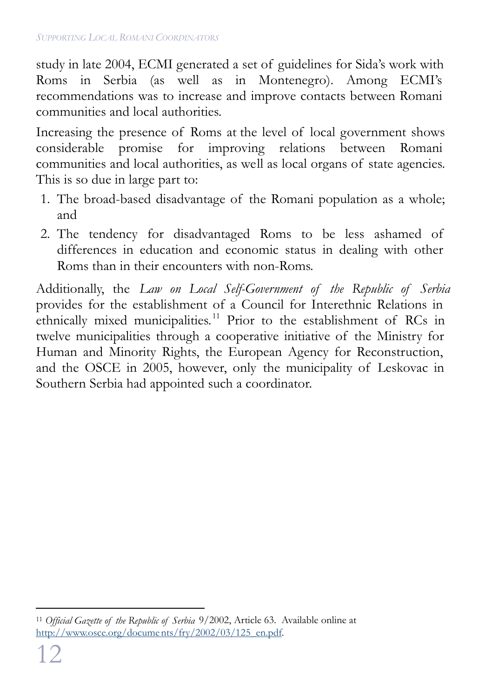study in late 2004, ECMI generated a set of guidelines for Sida's work with Roms in Serbia (as well as in Montenegro). Among ECMI's recommendations was to increase and improve contacts between Romani communities and local authorities.

Increasing the presence of Roms at the level of local government shows considerable promise for improving relations between Romani communities and local authorities, as well as local organs of state agencies. This is so due in large part to:

- 1. The broad-based disadvantage of the Romani population as a whole; and
- 2. The tendency for disadvantaged Roms to be less ashamed of differences in education and economic status in dealing with other Roms than in their encounters with non-Roms.

Additionally, the *Law on Local Self-Government of the Republic of Serbia* provides for the establishment of a Council for Interethnic Relations in ethnically mixed municipalities. <sup>11</sup> Prior to the establishment of RCs in twelve municipalities through a cooperative initiative of the Ministry for Human and Minority Rights, the European Agency for Reconstruction, and the OSCE in 2005, however, only the municipality of Leskovac in Southern Serbia had appointed such a coordinator.

 $\overline{a}$ <sup>11</sup> *Official Gazette of the Republic of Serbia* 9/2002, Article 63. Available online at http://www.osce.org/documents/fry/2002/03/125\_en.pdf.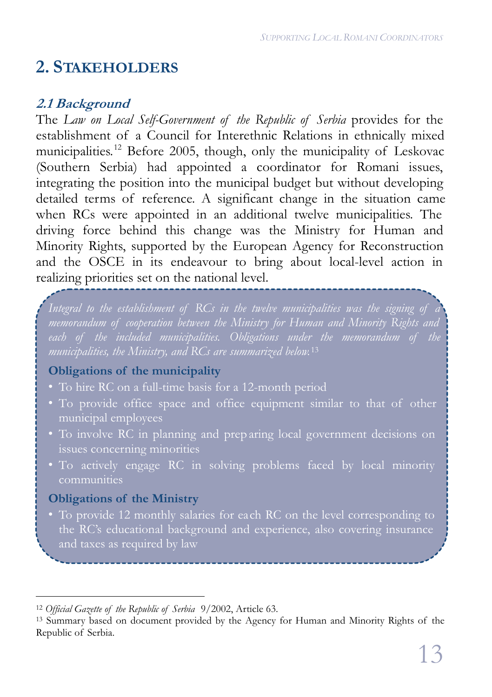# **2. STAKEHOLDERS**

#### **2.1 Background**

The *Law on Local Self-Government of the Republic of Serbia* provides for the establishment of a Council for Interethnic Relations in ethnically mixed municipalities. <sup>12</sup> Before 2005, though, only the municipality of Leskovac (Southern Serbia) had appointed a coordinator for Romani issues, integrating the position into the municipal budget but without developing detailed terms of reference. A significant change in the situation came when RCs were appointed in an additional twelve municipalities. The driving force behind this change was the Ministry for Human and Minority Rights, supported by the European Agency for Reconstruction and the OSCE in its endeavour to bring about local-level action in realizing priorities set on the national level.

*Integral to the establishment of RCs in the twelve municipalities was the signing of a memorandum of cooperation between the Ministry for Human and Minority Rights and municipalities, the Ministry, and RCs are summarized below.* 13

#### **Obligations of the municipality**

- 
- To provide office space and office equipment similar to that of other municipal employees
- To involve RC in planning and prep aring local government decisions on
- To actively engage RC in solving problems faced by local minority communities

#### **Obligations of the Ministry**

the RC's educational background and experience, also covering insurance

 $\overline{a}$ <sup>12</sup> *Official Gazette of the Republic of Serbia* 9/2002, Article 63.

<sup>13</sup> Summary based on document provided by the Agency for Human and Minority Rights of the Republic of Serbia.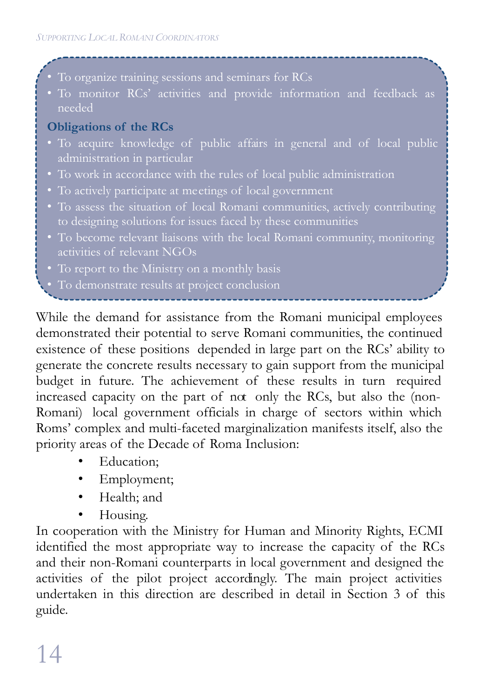• To organize training sessions and seminars for RCs

needed

#### **Obligations of the RCs**

- To acquire knowledge of public affairs in general and of local public administration in particular
- 
- To actively participate at meetings of local government
- To assess the situation of local Romani communities, actively contributing
- To become relevant liaisons with the local Romani community, monitoring activities of relevant NGOs
- 
- 

While the demand for assistance from the Romani municipal employees demonstrated their potential to serve Romani communities, the continued existence of these positions depended in large part on the RCs' ability to generate the concrete results necessary to gain support from the municipal budget in future. The achievement of these results in turn required increased capacity on the part of not only the RCs, but also the  $[non-$ Romani) local government officials in charge of sectors within which Roms' complex and multi-faceted marginalization manifests itself, also the priority areas of the Decade of Roma Inclusion:

- Education:
- Employment;
- Health; and
- Housing.

In cooperation with the Ministry for Human and Minority Rights, ECMI identified the most appropriate way to increase the capacity of the RCs and their non-Romani counterparts in local government and designed the activities of the pilot project accordingly. The main project activities undertaken in this direction are described in detail in Section 3 of this guide.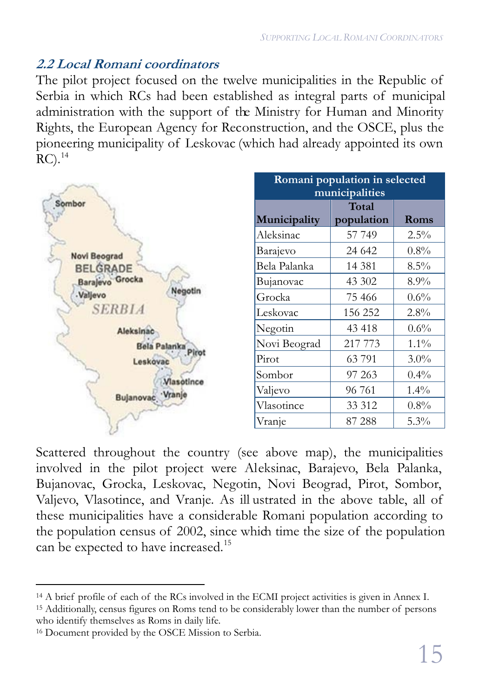#### **2.2 Local Romani coordinators**

The pilot project focused on the twelve municipalities in the Republic of Serbia in which RCs had been established as integral parts of municipal administration with the support of the Ministry for Human and Minority Rights, the European Agency for Reconstruction, and the OSCE, plus the pioneering municipality of Leskovac (which had already appointed its own  $RC).^{14}$ 



Scattered throughout the country (see above map), the municipalities involved in the pilot project were Aleksinac, Barajevo, Bela Palanka, Bujanovac, Grocka, Leskovac, Negotin, Novi Beograd, Pirot, Sombor, Valjevo, Vlasotince, and Vranje. As ill ustrated in the above table, all of these municipalities have a considerable Romani population according to the population census of 2002, since which time the size of the population can be expected to have increased.<sup>15</sup>

<sup>1</sup>5 Additionally, census figures on Roms tend to be considerably lower than the number of persons who identify themselves as Roms in daily life.

 $\overline{a}$ <sup>1</sup>4 A brief profile of each of the RCs involved in the ECMI project activities is given in Annex I.

<sup>1</sup>6 Document provided by the OSCE Mission to Serbia.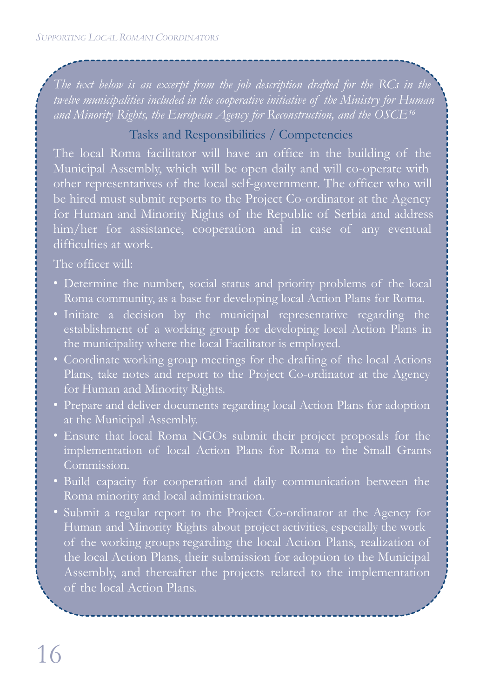*twelve municipalities included in the cooperative initiative of the Ministry for Human* and Minority Rights, the European Agency for Reconstruction, and the OSCE<sup>16</sup>

#### Tasks and Responsibilities / Competencies

The local Roma facilitator will have an office in the building of the Municipal Assembly, which will be open daily and will co-operate with other representatives of the local self-government. The officer who will be hired must submit reports to the Project Co-ordinator at the Agency for Human and Minority Rights of the Republic of Serbia and address him/her for assistance, cooperation and in case of any eventual difficulties at work.

The officer will:

- Determine the number, social status and priority problems of the local Roma community, as a base for developing local Action Plans for Roma.
- Initiate a decision by the municipal representative regarding the establishment of a working group for developing local Action Plans in the municipality where the local Facilitator is employed.
- Coordinate working group meetings for the drafting of the local Actions Plans, take notes and report to the Project Co-ordinator at the Agency for Human and Minority Rights.
- Prepare and deliver documents regarding local Action Plans for adoption at the Municipal Assembly.
- implementation of local Action Plans for Roma to the Small Grants Commission.
- Build capacity for cooperation and daily communication between the Roma minority and local administration.
- Submit a regular report to the Project Co-ordinator at the Agency for Human and Minority Rights about project activities, especially the work of the working groups regarding the local Action Plans, realization of the local Action Plans, their submission for adoption to the Municipal Assembly, and thereafter the projects related to the implementation of the local Action Plans.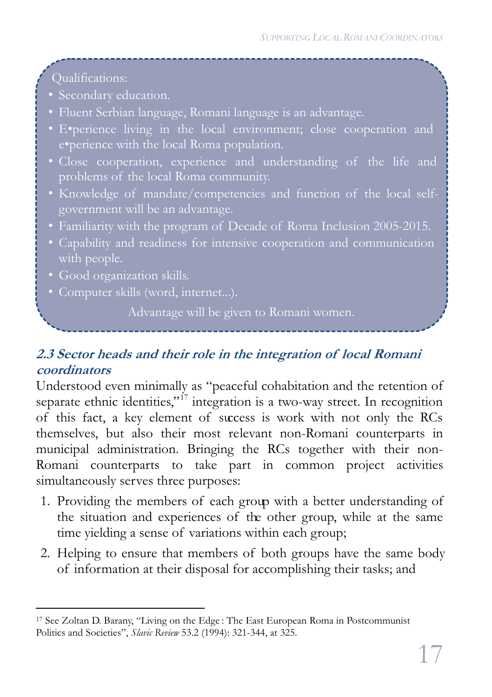Qualifications:

- Secondary education.
- Fluent Serbian language, Romani language is an advantage.
- E•perience living in the local environment; close cooperation and e•perience with the local Roma population.
- Close cooperation, experience and understanding of the life and
- Knowledge of mandate/competencies and function of the local selfgovernment will be an advantage.
- Familiarity with the program of Decade of Roma Inclusion 2005-2015.
- Capability and readiness for intensive cooperation and communication with people.
- Good organization skills.
- Computer skills (word, internet...).

Advantage will be given to Romani women.

### **2.3 Sector heads and their role in the integration of local Romani coordinators**

Understood even minimally as "peaceful cohabitation and the retention of separate ethnic identities,"<sup>17</sup> integration is a two-way street. In recognition of this fact, a key element of success is work with not only the RCs themselves, but also their most relevant non-Romani counterparts in municipal administration. Bringing the RCs together with their non-Romani counterparts to take part in common project activities simultaneously serves three purposes:

- 1. Providing the members of each group with a better understanding of the situation and experiences of the other group, while at the same time yielding a sense of variations within each group;
- 2. Helping to ensure that members of both groups have the same body of information at their disposal for accomplishing their tasks; and

 $\overline{a}$ <sup>17</sup> See Zoltan D. Barany, "Living on the Edge : The East European Roma in Postcommunist Politics and Societies", *Slavic Review* 53.2 (1994): 321-344, at 325.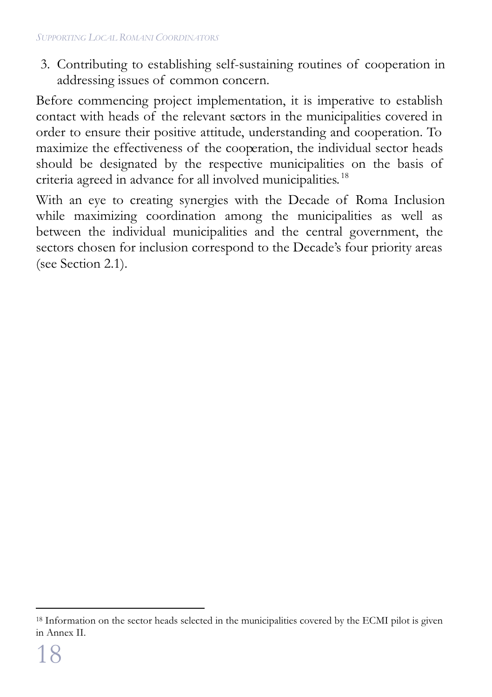3. Contributing to establishing self-sustaining routines of cooperation in addressing issues of common concern.

Before commencing project implementation, it is imperative to establish contact with heads of the relevant sectors in the municipalities covered in order to ensure their positive attitude, understanding and cooperation. To maximize the effectiveness of the cooperation, the individual sector heads should be designated by the respective municipalities on the basis of criteria agreed in advance for all involved municipalities.<sup>18</sup>

With an eye to creating synergies with the Decade of Roma Inclusion while maximizing coordination among the municipalities as well as between the individual municipalities and the central government, the sectors chosen for inclusion correspond to the Decade's four priority areas (see Section 2.1).

 $\overline{a}$ 

<sup>&</sup>lt;sup>18</sup> Information on the sector heads selected in the municipalities covered by the ECMI pilot is given in Annex II.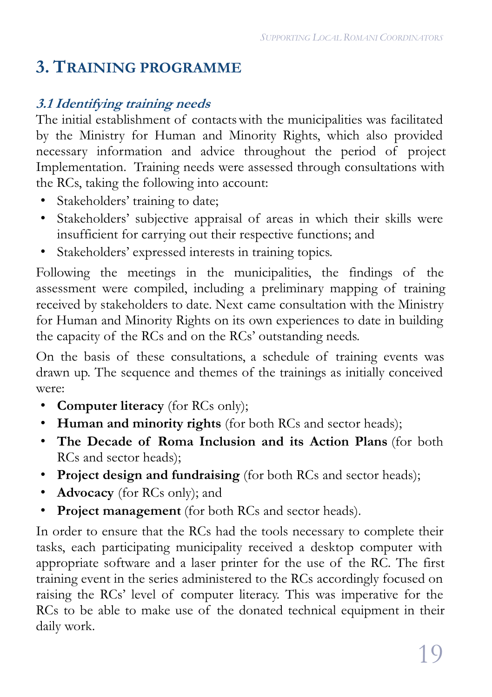# **3. TRAINING PROGRAMME**

#### **3.1 Identifying training needs**

The initial establishment of contacts with the municipalities was facilitated by the Ministry for Human and Minority Rights, which also provided necessary information and advice throughout the period of project Implementation. Training needs were assessed through consultations with the RCs, taking the following into account:

- Stakeholders' training to date;
- Stakeholders' subjective appraisal of areas in which their skills were insufficient for carrying out their respective functions; and
- Stakeholders' expressed interests in training topics.

Following the meetings in the municipalities, the findings of the assessment were compiled, including a preliminary mapping of training received by stakeholders to date. Next came consultation with the Ministry for Human and Minority Rights on its own experiences to date in building the capacity of the RCs and on the RCs' outstanding needs.

On the basis of these consultations, a schedule of training events was drawn up. The sequence and themes of the trainings as initially conceived were:

- **Computer literacy** (for RCs only);
- **Human and minority rights** (for both RCs and sector heads);
- **The Decade of Roma Inclusion and its Action Plans** (for both RCs and sector heads);
- **Project design and fundraising** (for both RCs and sector heads);
- **Advocacy** (for RCs only); and
- **Project management** (for both RCs and sector heads).

In order to ensure that the RCs had the tools necessary to complete their tasks, each participating municipality received a desktop computer with appropriate software and a laser printer for the use of the RC. The first training event in the series administered to the RCs accordingly focused on raising the RCs' level of computer literacy. This was imperative for the RCs to be able to make use of the donated technical equipment in their daily work.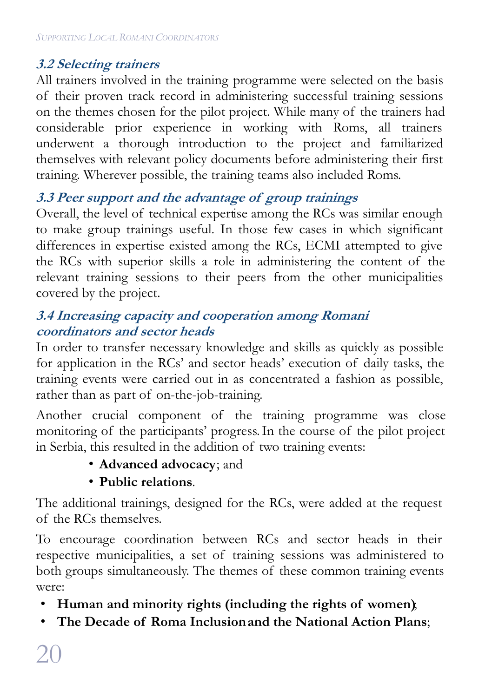#### **3.2 Selecting trainers**

All trainers involved in the training programme were selected on the basis of their proven track record in administering successful training sessions on the themes chosen for the pilot project. While many of the trainers had considerable prior experience in working with Roms, all trainers underwent a thorough introduction to the project and familiarized themselves with relevant policy documents before administering their first training. Wherever possible, the training teams also included Roms.

#### **3.3 Peer support and the advantage of group trainings**

Overall, the level of technical expertise among the RCs was similar enough to make group trainings useful. In those few cases in which significant differences in expertise existed among the RCs, ECMI attempted to give the RCs with superior skills a role in administering the content of the relevant training sessions to their peers from the other municipalities covered by the project.

#### **3.4 Increasing capacity and cooperation among Romani coordinators and sector heads**

In order to transfer necessary knowledge and skills as quickly as possible for application in the RCs' and sector heads' execution of daily tasks, the training events were carried out in as concentrated a fashion as possible, rather than as part of on-the-job-training.

Another crucial component of the training programme was close monitoring of the participants' progress.In the course of the pilot project in Serbia, this resulted in the addition of two training events:

• **Advanced advocacy**; and

#### • **Public relations**.

The additional trainings, designed for the RCs, were added at the request of the RCs themselves.

To encourage coordination between RCs and sector heads in their respective municipalities, a set of training sessions was administered to both groups simultaneously. The themes of these common training events were:

- **Human and minority rights (including the rights of women)**;
- **The Decade of Roma Inclusion and the National Action Plans**;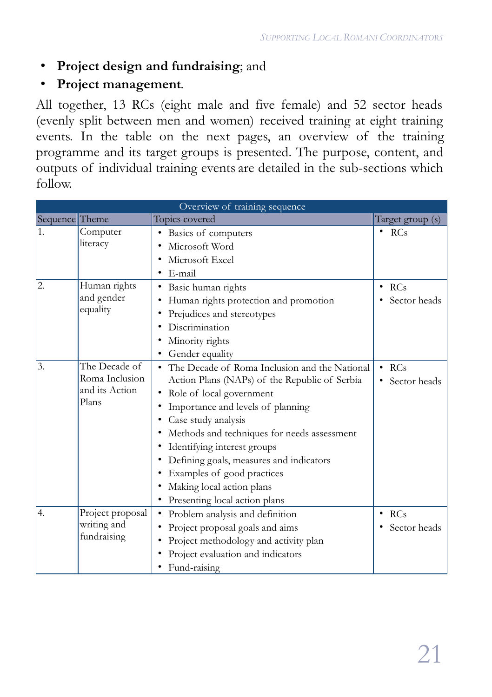#### • **Project design and fundraising**; and

#### • **Project management**.

All together, 13 RCs (eight male and five female) and 52 sector heads (evenly split between men and women) received training at eight training events. In the table on the next pages, an overview of the training programme and its target groups is presented. The purpose, content, and outputs of individual training events are detailed in the sub-sections which follow.

| Overview of training sequence |                                                            |                                                                                                                                                                                                                                                                                                                                                                                                                                      |                                  |
|-------------------------------|------------------------------------------------------------|--------------------------------------------------------------------------------------------------------------------------------------------------------------------------------------------------------------------------------------------------------------------------------------------------------------------------------------------------------------------------------------------------------------------------------------|----------------------------------|
| Sequence Theme                |                                                            | Topics covered                                                                                                                                                                                                                                                                                                                                                                                                                       | Target group (s)                 |
| 1.                            | Computer<br>literacy                                       | Basics of computers<br>٠<br>Microsoft Word                                                                                                                                                                                                                                                                                                                                                                                           | $\cdot$ RCs                      |
|                               |                                                            | Microsoft Excel<br>٠<br>E-mail<br>٠                                                                                                                                                                                                                                                                                                                                                                                                  |                                  |
| 2.                            | Human rights<br>and gender<br>equality                     | Basic human rights<br>٠<br>Human rights protection and promotion<br>Prejudices and stereotypes<br>٠<br>Discrimination<br>Minority rights<br>Gender equality<br>٠                                                                                                                                                                                                                                                                     | $\cdot$ RCs<br>Sector heads      |
| 3.                            | The Decade of<br>Roma Inclusion<br>and its Action<br>Plans | The Decade of Roma Inclusion and the National<br>٠<br>Action Plans (NAPs) of the Republic of Serbia<br>Role of local government<br>٠<br>Importance and levels of planning<br>Case study analysis<br>Methods and techniques for needs assessment<br>٠<br>Identifying interest groups<br>Defining goals, measures and indicators<br>Examples of good practices<br>٠<br>Making local action plans<br>Presenting local action plans<br>٠ | RCs<br>$\bullet$<br>Sector heads |
| 4.                            | Project proposal<br>writing and<br>fundraising             | Problem analysis and definition<br>$\bullet$<br>Project proposal goals and aims<br>Project methodology and activity plan<br>٠<br>Project evaluation and indicators<br>Fund-raising                                                                                                                                                                                                                                                   | RCs<br>$\bullet$<br>Sector heads |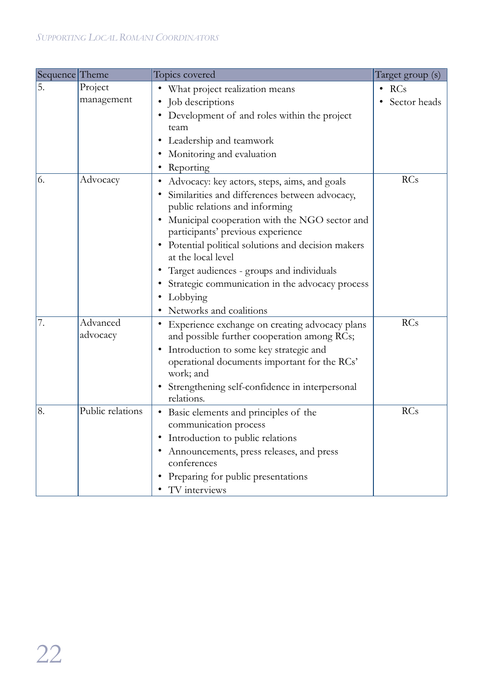| Sequence Theme |                  | Topics covered                                                                     | Target group (s) |
|----------------|------------------|------------------------------------------------------------------------------------|------------------|
| 5.             | Project          | What project realization means                                                     | $\cdot$ RCs      |
|                | management       | Job descriptions                                                                   | Sector heads     |
|                |                  | Development of and roles within the project                                        |                  |
|                |                  | team                                                                               |                  |
|                |                  | Leadership and teamwork                                                            |                  |
|                |                  | Monitoring and evaluation                                                          |                  |
|                |                  | Reporting                                                                          |                  |
| 6.             | Advocacy         | Advocacy: key actors, steps, aims, and goals                                       | RCs              |
|                |                  | Similarities and differences between advocacy,                                     |                  |
|                |                  | public relations and informing                                                     |                  |
|                |                  | Municipal cooperation with the NGO sector and<br>participants' previous experience |                  |
|                |                  | Potential political solutions and decision makers                                  |                  |
|                |                  | at the local level                                                                 |                  |
|                |                  | Target audiences - groups and individuals                                          |                  |
|                |                  | Strategic communication in the advocacy process                                    |                  |
|                |                  | Lobbying                                                                           |                  |
|                |                  | Networks and coalitions                                                            |                  |
| 7.             | Advanced         | • Experience exchange on creating advocacy plans                                   | <b>RCs</b>       |
|                | advocacy         | and possible further cooperation among RCs;                                        |                  |
|                |                  | Introduction to some key strategic and<br>٠                                        |                  |
|                |                  | operational documents important for the RCs'                                       |                  |
|                |                  | work; and                                                                          |                  |
|                |                  | Strengthening self-confidence in interpersonal                                     |                  |
|                |                  | relations.                                                                         |                  |
| 8.             | Public relations | Basic elements and principles of the<br>٠                                          | RCs              |
|                |                  | communication process                                                              |                  |
|                |                  | Introduction to public relations                                                   |                  |
|                |                  | Announcements, press releases, and press<br>conferences                            |                  |
|                |                  |                                                                                    |                  |
|                |                  | Preparing for public presentations                                                 |                  |
|                |                  | TV interviews                                                                      |                  |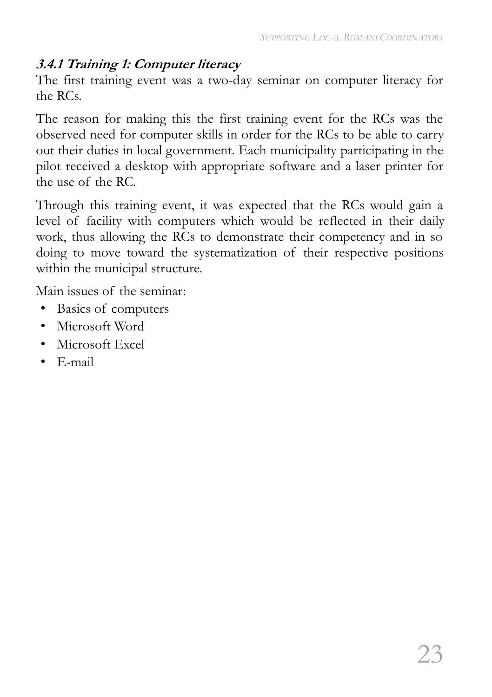#### **3.4.1 Training 1: Computer literacy**

The first training event was a two-day seminar on computer literacy for the RCs.

The reason for making this the first training event for the RCs was the observed need for computer skills in order for the RCs to be able to carry out their duties in local government. Each municipality participating in the pilot received a desktop with appropriate software and a laser printer for the use of the RC.

Through this training event, it was expected that the RCs would gain a level of facility with computers which would be reflected in their daily work, thus allowing the RCs to demonstrate their competency and in so doing to move toward the systematization of their respective positions within the municipal structure.

- Basics of computers
- Microsoft Word
- Microsoft Excel
- E-mail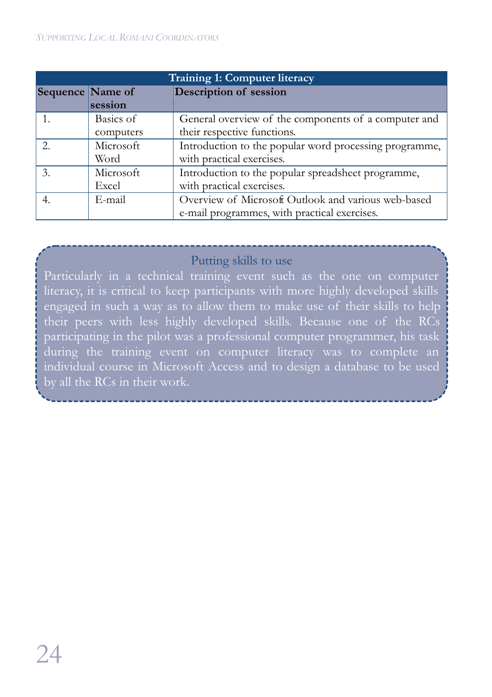#### *SUPPORTING LOCAL ROMANI COORDINATORS*

| <b>Training 1: Computer literacy</b> |           |                                                        |
|--------------------------------------|-----------|--------------------------------------------------------|
| Sequence Name of                     |           | Description of session                                 |
|                                      | session   |                                                        |
|                                      | Basics of | General overview of the components of a computer and   |
|                                      | computers | their respective functions.                            |
|                                      | Microsoft | Introduction to the popular word processing programme, |
|                                      | Word      | with practical exercises.                              |
| 3.                                   | Microsoft | Introduction to the popular spreadsheet programme,     |
|                                      | Excel     | with practical exercises.                              |
|                                      | E-mail    | Overview of Microsoft Outlook and various web-based    |
|                                      |           | e-mail programmes, with practical exercises.           |

#### Putting skills to use

Particularly in a technical training event such as the one on computer literacy, it is critical to keep participants with more highly developed skills engaged in such a way as to allow them to make use of their skills to help their peers with less highly developed skills. Because one of the RCs participating in the pilot was a professional computer programmer, his task during the training event on computer literacy was to complete an individual course in Microsoft Access and to design a database to be used by all the RCs in their work.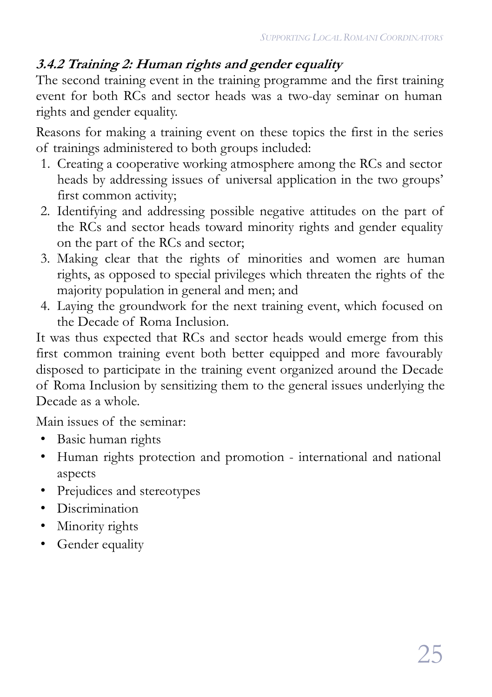### **3.4.2 Training 2: Human rights and gender equality**

The second training event in the training programme and the first training event for both RCs and sector heads was a two-day seminar on human rights and gender equality.

Reasons for making a training event on these topics the first in the series of trainings administered to both groups included:

- 1. Creating a cooperative working atmosphere among the RCs and sector heads by addressing issues of universal application in the two groups' first common activity;
- 2. Identifying and addressing possible negative attitudes on the part of the RCs and sector heads toward minority rights and gender equality on the part of the RCs and sector;
- 3. Making clear that the rights of minorities and women are human rights, as opposed to special privileges which threaten the rights of the majority population in general and men; and
- 4. Laying the groundwork for the next training event, which focused on the Decade of Roma Inclusion.

It was thus expected that RCs and sector heads would emerge from this first common training event both better equipped and more favourably disposed to participate in the training event organized around the Decade of Roma Inclusion by sensitizing them to the general issues underlying the Decade as a whole.

- Basic human rights
- Human rights protection and promotion international and national aspects
- Prejudices and stereotypes
- Discrimination
- Minority rights
- Gender equality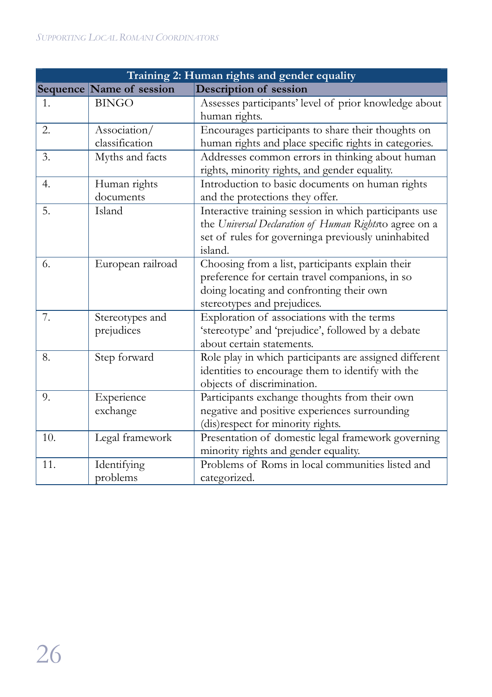| Training 2: Human rights and gender equality |                                |                                                                                                                                                                                   |  |
|----------------------------------------------|--------------------------------|-----------------------------------------------------------------------------------------------------------------------------------------------------------------------------------|--|
|                                              | Sequence Name of session       | Description of session                                                                                                                                                            |  |
| 1.                                           | <b>BINGO</b>                   | Assesses participants' level of prior knowledge about<br>human rights.                                                                                                            |  |
| 2.                                           | Association/<br>classification | Encourages participants to share their thoughts on<br>human rights and place specific rights in categories.                                                                       |  |
| 3.                                           | Myths and facts                | Addresses common errors in thinking about human<br>rights, minority rights, and gender equality.                                                                                  |  |
| 4.                                           | Human rights<br>documents      | Introduction to basic documents on human rights<br>and the protections they offer.                                                                                                |  |
| 5.                                           | Island                         | Interactive training session in which participants use<br>the Universal Declaration of Human Rightsto agree on a<br>set of rules for governinga previously uninhabited<br>island. |  |
| 6.                                           | European railroad              | Choosing from a list, participants explain their<br>preference for certain travel companions, in so<br>doing locating and confronting their own<br>stereotypes and prejudices.    |  |
| 7.                                           | Stereotypes and<br>prejudices  | Exploration of associations with the terms<br>'stereotype' and 'prejudice', followed by a debate<br>about certain statements.                                                     |  |
| 8.                                           | Step forward                   | Role play in which participants are assigned different<br>identities to encourage them to identify with the<br>objects of discrimination.                                         |  |
| 9.                                           | Experience<br>exchange         | Participants exchange thoughts from their own<br>negative and positive experiences surrounding<br>(dis)respect for minority rights.                                               |  |
| 10.                                          | Legal framework                | Presentation of domestic legal framework governing<br>minority rights and gender equality.                                                                                        |  |
| 11.                                          | Identifying<br>problems        | Problems of Roms in local communities listed and<br>categorized.                                                                                                                  |  |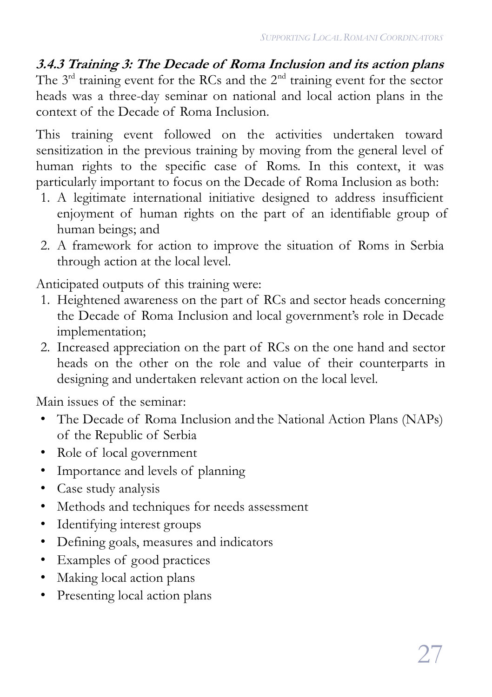**3.4.3 Training 3: The Decade of Roma Inclusion and its action plans** The  $3<sup>rd</sup>$  training event for the RCs and the  $2<sup>nd</sup>$  training event for the sector heads was a three-day seminar on national and local action plans in the context of the Decade of Roma Inclusion.

This training event followed on the activities undertaken toward sensitization in the previous training by moving from the general level of human rights to the specific case of Roms. In this context, it was particularly important to focus on the Decade of Roma Inclusion as both:

- 1. A legitimate international initiative designed to address insufficient enjoyment of human rights on the part of an identifiable group of human beings; and
- 2. A framework for action to improve the situation of Roms in Serbia through action at the local level.

Anticipated outputs of this training were:

- 1. Heightened awareness on the part of RCs and sector heads concerning the Decade of Roma Inclusion and local government's role in Decade implementation;
- 2. Increased appreciation on the part of RCs on the one hand and sector heads on the other on the role and value of their counterparts in designing and undertaken relevant action on the local level.

- The Decade of Roma Inclusion and the National Action Plans (NAPs) of the Republic of Serbia
- Role of local government
- Importance and levels of planning
- Case study analysis
- Methods and techniques for needs assessment
- Identifying interest groups
- Defining goals, measures and indicators
- Examples of good practices
- Making local action plans
- Presenting local action plans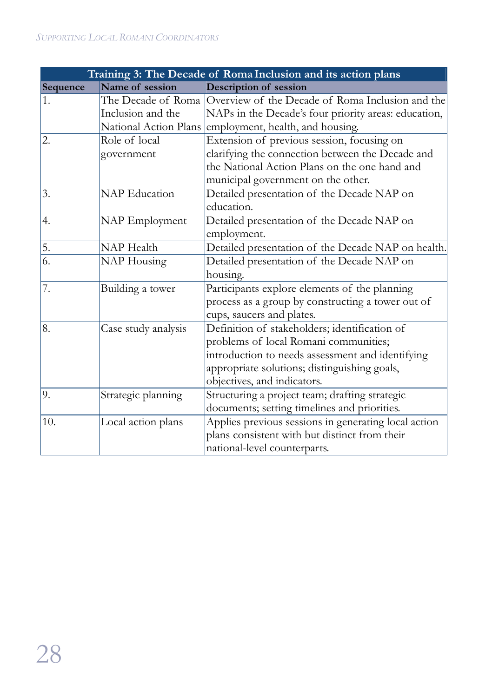| Training 3: The Decade of Roma Inclusion and its action plans |                      |                                                                     |  |
|---------------------------------------------------------------|----------------------|---------------------------------------------------------------------|--|
| Sequence                                                      | Name of session      | Description of session                                              |  |
| 1.                                                            |                      | The Decade of Roma Overview of the Decade of Roma Inclusion and the |  |
|                                                               | Inclusion and the    | NAPs in the Decade's four priority areas: education,                |  |
|                                                               |                      | National Action Plans employment, health, and housing.              |  |
| 2.                                                            | Role of local        | Extension of previous session, focusing on                          |  |
|                                                               | government           | clarifying the connection between the Decade and                    |  |
|                                                               |                      | the National Action Plans on the one hand and                       |  |
|                                                               |                      | municipal government on the other.                                  |  |
| 3.                                                            | <b>NAP</b> Education | Detailed presentation of the Decade NAP on                          |  |
|                                                               |                      | education.                                                          |  |
| 4.                                                            | NAP Employment       | Detailed presentation of the Decade NAP on                          |  |
|                                                               |                      | employment.                                                         |  |
| 5.                                                            | <b>NAP</b> Health    | Detailed presentation of the Decade NAP on health.                  |  |
| 6.                                                            | NAP Housing          | Detailed presentation of the Decade NAP on                          |  |
|                                                               |                      | housing.                                                            |  |
| 7.                                                            | Building a tower     | Participants explore elements of the planning                       |  |
|                                                               |                      | process as a group by constructing a tower out of                   |  |
|                                                               |                      | cups, saucers and plates.                                           |  |
| 8.                                                            | Case study analysis  | Definition of stakeholders; identification of                       |  |
|                                                               |                      | problems of local Romani communities;                               |  |
|                                                               |                      | introduction to needs assessment and identifying                    |  |
|                                                               |                      | appropriate solutions; distinguishing goals,                        |  |
|                                                               |                      | objectives, and indicators.                                         |  |
| 9.                                                            | Strategic planning   | Structuring a project team; drafting strategic                      |  |
|                                                               |                      | documents; setting timelines and priorities.                        |  |
| 10.                                                           | Local action plans   | Applies previous sessions in generating local action                |  |
|                                                               |                      | plans consistent with but distinct from their                       |  |
|                                                               |                      | national-level counterparts.                                        |  |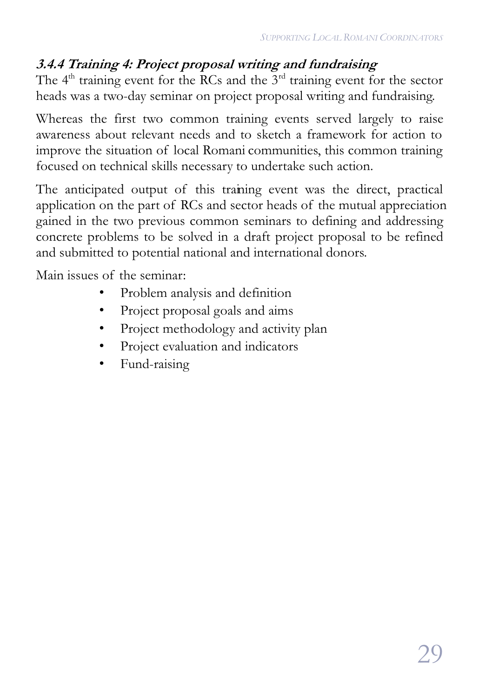### **3.4.4 Training 4: Project proposal writing and fundraising**

The  $4<sup>th</sup>$  training event for the RCs and the  $3<sup>rd</sup>$  training event for the sector heads was a two-day seminar on project proposal writing and fundraising.

Whereas the first two common training events served largely to raise awareness about relevant needs and to sketch a framework for action to improve the situation of local Romani communities, this common training focused on technical skills necessary to undertake such action.

The anticipated output of this training event was the direct, practical application on the part of RCs and sector heads of the mutual appreciation gained in the two previous common seminars to defining and addressing concrete problems to be solved in a draft project proposal to be refined and submitted to potential national and international donors.

- Problem analysis and definition
- Project proposal goals and aims
- Project methodology and activity plan
- Project evaluation and indicators
- Fund-raising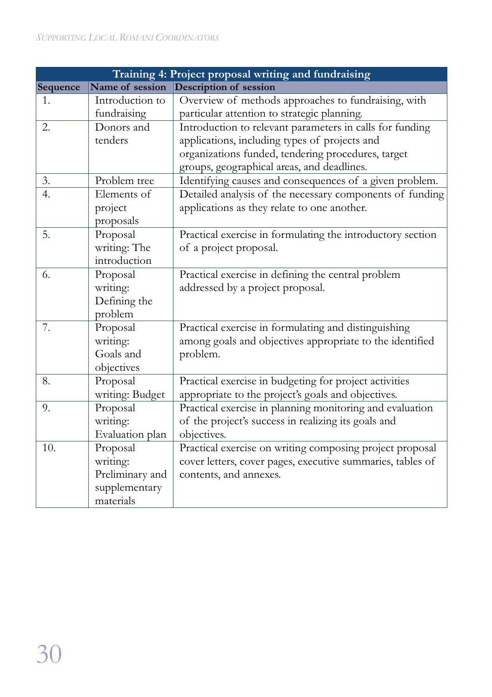|          |                 | Training 4: Project proposal writing and fundraising       |
|----------|-----------------|------------------------------------------------------------|
| Sequence | Name of session | Description of session                                     |
| 1.       | Introduction to | Overview of methods approaches to fundraising, with        |
|          | fundraising     | particular attention to strategic planning.                |
| 2.       | Donors and      | Introduction to relevant parameters in calls for funding   |
|          | tenders         | applications, including types of projects and              |
|          |                 | organizations funded, tendering procedures, target         |
|          |                 | groups, geographical areas, and deadlines.                 |
| 3.       | Problem tree    | Identifying causes and consequences of a given problem.    |
| 4.       | Elements of     | Detailed analysis of the necessary components of funding   |
|          | project         | applications as they relate to one another.                |
|          | proposals       |                                                            |
| 5.       | Proposal        | Practical exercise in formulating the introductory section |
|          | writing: The    | of a project proposal.                                     |
|          | introduction    |                                                            |
| 6.       | Proposal        | Practical exercise in defining the central problem         |
|          | writing:        | addressed by a project proposal.                           |
|          | Defining the    |                                                            |
|          | problem         |                                                            |
| 7.       | Proposal        | Practical exercise in formulating and distinguishing       |
|          | writing:        | among goals and objectives appropriate to the identified   |
|          | Goals and       | problem.                                                   |
|          | objectives      |                                                            |
| 8.       | Proposal        | Practical exercise in budgeting for project activities     |
|          | writing: Budget | appropriate to the project's goals and objectives.         |
| 9.       | Proposal        | Practical exercise in planning monitoring and evaluation   |
|          | writing:        | of the project's success in realizing its goals and        |
|          | Evaluation plan | objectives.                                                |
| 10.      | Proposal        | Practical exercise on writing composing project proposal   |
|          | writing:        | cover letters, cover pages, executive summaries, tables of |
|          | Preliminary and | contents, and annexes.                                     |
|          | supplementary   |                                                            |
|          | materials       |                                                            |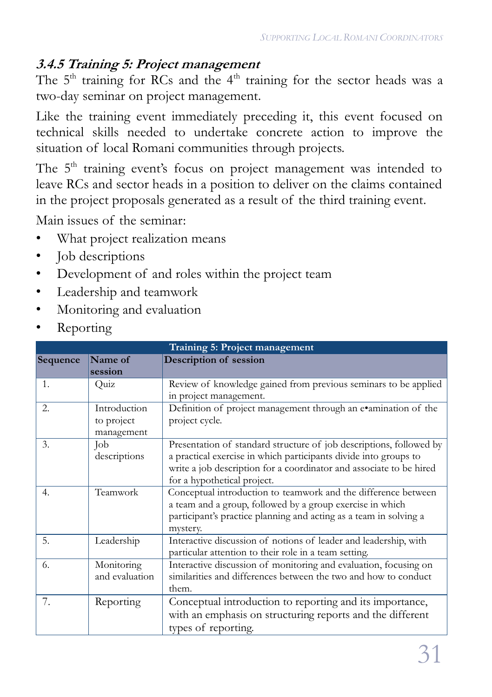#### **3.4.5 Training 5: Project management**

The  $5<sup>th</sup>$  training for RCs and the  $4<sup>th</sup>$  training for the sector heads was a two-day seminar on project management.

Like the training event immediately preceding it, this event focused on technical skills needed to undertake concrete action to improve the situation of local Romani communities through projects.

The  $5<sup>th</sup>$  training event's focus on project management was intended to leave RCs and sector heads in a position to deliver on the claims contained in the project proposals generated as a result of the third training event.

- What project realization means
- Job descriptions
- Development of and roles within the project team
- Leadership and teamwork
- Monitoring and evaluation
- **Reporting**

| Training 5: Project management |                |                                                                     |  |
|--------------------------------|----------------|---------------------------------------------------------------------|--|
| Sequence                       | Name of        | <b>Description of session</b>                                       |  |
|                                | session        |                                                                     |  |
| $\mathbf{1}$ .                 | Quiz           | Review of knowledge gained from previous seminars to be applied     |  |
|                                |                | in project management.                                              |  |
| 2.                             | Introduction   | Definition of project management through an e•amination of the      |  |
|                                | to project     | project cycle.                                                      |  |
|                                | management     |                                                                     |  |
| $\mathfrak{Z}$ .               | Job            | Presentation of standard structure of job descriptions, followed by |  |
|                                | descriptions   | a practical exercise in which participants divide into groups to    |  |
|                                |                | write a job description for a coordinator and associate to be hired |  |
|                                |                | for a hypothetical project.                                         |  |
| 4.                             | Teamwork       | Conceptual introduction to teamwork and the difference between      |  |
|                                |                | a team and a group, followed by a group exercise in which           |  |
|                                |                | participant's practice planning and acting as a team in solving a   |  |
|                                |                | mystery.                                                            |  |
| 5.                             | Leadership     | Interactive discussion of notions of leader and leadership, with    |  |
|                                |                | particular attention to their role in a team setting.               |  |
| 6.                             | Monitoring     | Interactive discussion of monitoring and evaluation, focusing on    |  |
|                                | and evaluation | similarities and differences between the two and how to conduct     |  |
|                                |                | them.                                                               |  |
| 7.                             | Reporting      | Conceptual introduction to reporting and its importance,            |  |
|                                |                | with an emphasis on structuring reports and the different           |  |
|                                |                | types of reporting.                                                 |  |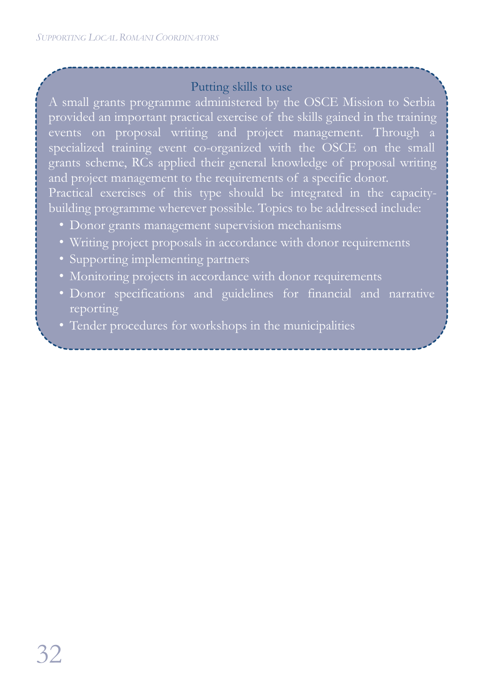#### Putting skills to use

A small grants programme administered by the OSCE Mission to Serbia provided an important practical exercise of the skills gained in the training events on proposal writing and project management. Through a specialized training event co-organized with the OSCE on the small grants scheme, RCs applied their general knowledge of proposal writing and project management to the requirements of a specific donor. Practical exercises of this type should be integrated in the capacitybuilding programme wherever possible. Topics to be addressed include:

- Donor grants management supervision mechanisms
- Writing project proposals in accordance with donor requirements
- Supporting implementing partners
- Monitoring projects in accordance with donor requirements
- Donor specifications and guidelines for financial and narrative reporting
- Tender procedures for workshops in the municipalities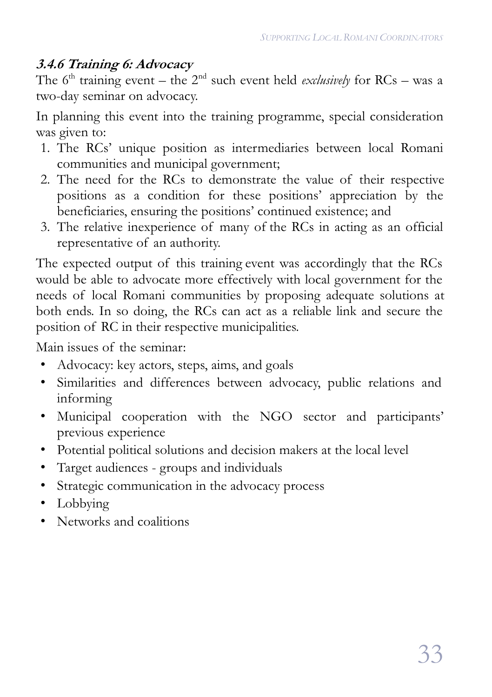#### **3.4.6 Training 6: Advocacy**

The 6<sup>th</sup> training event – the 2<sup>nd</sup> such event held *exclusively* for RCs – was a two-day seminar on advocacy.

In planning this event into the training programme, special consideration was given to:

- 1. The RCs' unique position as intermediaries between local Romani communities and municipal government;
- 2. The need for the RCs to demonstrate the value of their respective positions as a condition for these positions' appreciation by the beneficiaries, ensuring the positions' continued existence; and
- 3. The relative inexperience of many of the RCs in acting as an official representative of an authority.

The expected output of this training event was accordingly that the RCs would be able to advocate more effectively with local government for the needs of local Romani communities by proposing adequate solutions at both ends. In so doing, the RCs can act as a reliable link and secure the position of RC in their respective municipalities.

- Advocacy: key actors, steps, aims, and goals
- Similarities and differences between advocacy, public relations and informing
- Municipal cooperation with the NGO sector and participants' previous experience
- Potential political solutions and decision makers at the local level
- Target audiences groups and individuals
- Strategic communication in the advocacy process
- Lobbying
- Networks and coalitions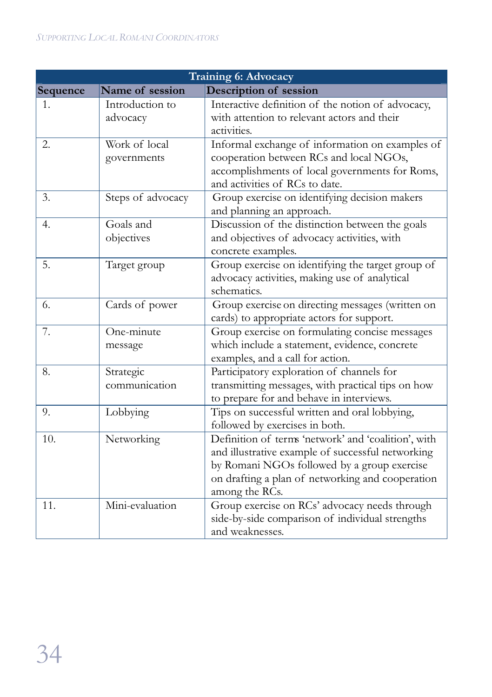| Training 6: Advocacy |                              |                                                                                                                                                                                                                               |  |
|----------------------|------------------------------|-------------------------------------------------------------------------------------------------------------------------------------------------------------------------------------------------------------------------------|--|
| Sequence             | Name of session              | Description of session                                                                                                                                                                                                        |  |
| 1.                   | Introduction to<br>advocacy  | Interactive definition of the notion of advocacy,<br>with attention to relevant actors and their<br>activities.                                                                                                               |  |
| 2.                   | Work of local<br>governments | Informal exchange of information on examples of<br>cooperation between RCs and local NGOs,<br>accomplishments of local governments for Roms,<br>and activities of RCs to date.                                                |  |
| 3.                   | Steps of advocacy            | Group exercise on identifying decision makers<br>and planning an approach.                                                                                                                                                    |  |
| 4.                   | Goals and<br>objectives      | Discussion of the distinction between the goals<br>and objectives of advocacy activities, with<br>concrete examples.                                                                                                          |  |
| 5.                   | Target group                 | Group exercise on identifying the target group of<br>advocacy activities, making use of analytical<br>schematics.                                                                                                             |  |
| 6.                   | Cards of power               | Group exercise on directing messages (written on<br>cards) to appropriate actors for support.                                                                                                                                 |  |
| 7.                   | One-minute<br>message        | Group exercise on formulating concise messages<br>which include a statement, evidence, concrete<br>examples, and a call for action.                                                                                           |  |
| 8.                   | Strategic<br>communication   | Participatory exploration of channels for<br>transmitting messages, with practical tips on how<br>to prepare for and behave in interviews.                                                                                    |  |
| 9.                   | Lobbying                     | Tips on successful written and oral lobbying,<br>followed by exercises in both.                                                                                                                                               |  |
| 10.                  | Networking                   | Definition of terms 'network' and 'coalition', with<br>and illustrative example of successful networking<br>by Romani NGOs followed by a group exercise<br>on drafting a plan of networking and cooperation<br>among the RCs. |  |
| 11.                  | Mini-evaluation              | Group exercise on RCs' advocacy needs through<br>side-by-side comparison of individual strengths<br>and weaknesses.                                                                                                           |  |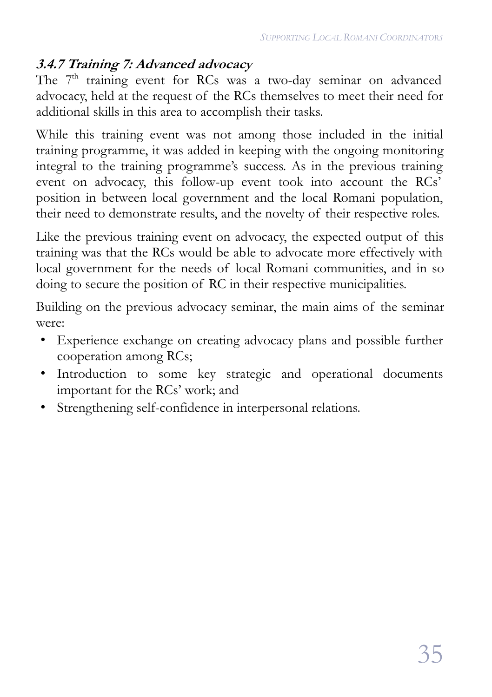#### **3.4.7 Training 7: Advanced advocacy**

The 7<sup>th</sup> training event for RCs was a two-day seminar on advanced advocacy, held at the request of the RCs themselves to meet their need for additional skills in this area to accomplish their tasks.

While this training event was not among those included in the initial training programme, it was added in keeping with the ongoing monitoring integral to the training programme's success. As in the previous training event on advocacy, this follow-up event took into account the RCs' position in between local government and the local Romani population, their need to demonstrate results, and the novelty of their respective roles.

Like the previous training event on advocacy, the expected output of this training was that the RCs would be able to advocate more effectively with local government for the needs of local Romani communities, and in so doing to secure the position of RC in their respective municipalities.

Building on the previous advocacy seminar, the main aims of the seminar were:

- Experience exchange on creating advocacy plans and possible further cooperation among RCs;
- Introduction to some key strategic and operational documents important for the RCs' work; and
- Strengthening self-confidence in interpersonal relations.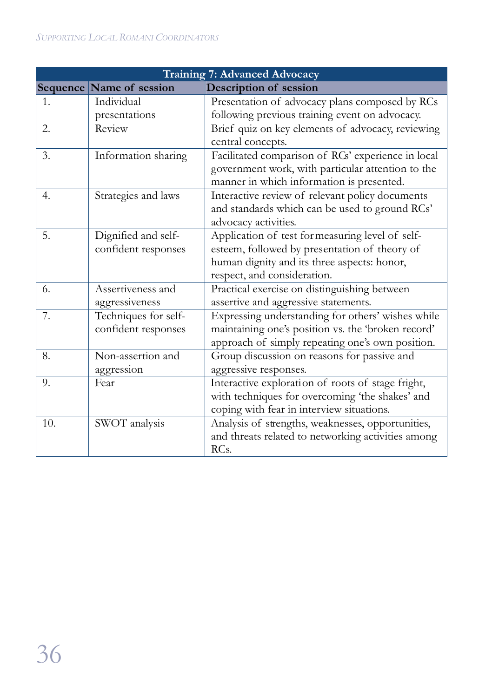| <b>Training 7: Advanced Advocacy</b> |                          |                                                    |  |
|--------------------------------------|--------------------------|----------------------------------------------------|--|
|                                      | Sequence Name of session | Description of session                             |  |
| 1.                                   | Individual               | Presentation of advocacy plans composed by RCs     |  |
|                                      | presentations            | following previous training event on advocacy.     |  |
| 2.                                   | Review                   | Brief quiz on key elements of advocacy, reviewing  |  |
|                                      |                          | central concepts.                                  |  |
| 3.                                   | Information sharing      | Facilitated comparison of RCs' experience in local |  |
|                                      |                          | government work, with particular attention to the  |  |
|                                      |                          | manner in which information is presented.          |  |
| 4.                                   | Strategies and laws      | Interactive review of relevant policy documents    |  |
|                                      |                          | and standards which can be used to ground RCs'     |  |
|                                      |                          | advocacy activities.                               |  |
| 5.                                   | Dignified and self-      | Application of test for measuring level of self-   |  |
|                                      | confident responses      | esteem, followed by presentation of theory of      |  |
|                                      |                          | human dignity and its three aspects: honor,        |  |
|                                      |                          | respect, and consideration.                        |  |
| 6.                                   | Assertiveness and        | Practical exercise on distinguishing between       |  |
|                                      | aggressiveness           | assertive and aggressive statements.               |  |
| 7.                                   | Techniques for self-     | Expressing understanding for others' wishes while  |  |
|                                      | confident responses      | maintaining one's position vs. the 'broken record' |  |
|                                      |                          | approach of simply repeating one's own position.   |  |
| 8.                                   | Non-assertion and        | Group discussion on reasons for passive and        |  |
|                                      | aggression               | aggressive responses.                              |  |
| 9.                                   | Fear                     | Interactive exploration of roots of stage fright,  |  |
|                                      |                          | with techniques for overcoming 'the shakes' and    |  |
|                                      |                          | coping with fear in interview situations.          |  |
| 10.                                  | SWOT analysis            | Analysis of strengths, weaknesses, opportunities,  |  |
|                                      |                          | and threats related to networking activities among |  |
|                                      |                          | RC <sub>s</sub> .                                  |  |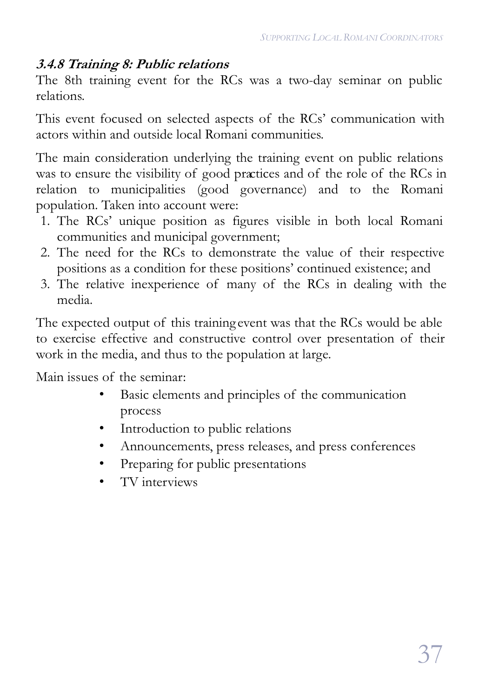#### **3.4.8 Training 8: Public relations**

The 8th training event for the RCs was a two-day seminar on public relations.

This event focused on selected aspects of the RCs' communication with actors within and outside local Romani communities.

The main consideration underlying the training event on public relations was to ensure the visibility of good practices and of the role of the RCs in relation to municipalities (good governance) and to the Romani population. Taken into account were:

- 1. The RCs' unique position as figures visible in both local Romani communities and municipal government;
- 2. The need for the RCs to demonstrate the value of their respective positions as a condition for these positions' continued existence; and
- 3. The relative inexperience of many of the RCs in dealing with the media.

The expected output of this training event was that the RCs would be able to exercise effective and constructive control over presentation of their work in the media, and thus to the population at large.

- Basic elements and principles of the communication process
- Introduction to public relations
- Announcements, press releases, and press conferences
- Preparing for public presentations
- TV interviews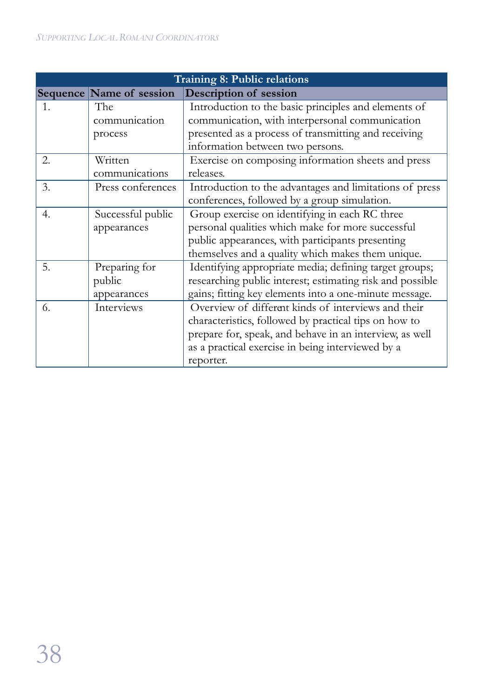| Training 8: Public relations |                          |                                                           |  |
|------------------------------|--------------------------|-----------------------------------------------------------|--|
|                              | Sequence Name of session | <b>Description of session</b>                             |  |
| 1.                           | The                      | Introduction to the basic principles and elements of      |  |
|                              | communication            | communication, with interpersonal communication           |  |
|                              | process                  | presented as a process of transmitting and receiving      |  |
|                              |                          | information between two persons.                          |  |
| 2.                           | Written                  | Exercise on composing information sheets and press        |  |
|                              | communications           | releases.                                                 |  |
| 3.                           | Press conferences        | Introduction to the advantages and limitations of press   |  |
|                              |                          | conferences, followed by a group simulation.              |  |
| 4.                           | Successful public        | Group exercise on identifying in each RC three            |  |
|                              | appearances              | personal qualities which make for more successful         |  |
|                              |                          | public appearances, with participants presenting          |  |
|                              |                          | themselves and a quality which makes them unique.         |  |
| 5.                           | Preparing for            | Identifying appropriate media; defining target groups;    |  |
|                              | public                   | researching public interest; estimating risk and possible |  |
|                              | appearances              | gains; fitting key elements into a one-minute message.    |  |
| 6.                           | Interviews               | Overview of different kinds of interviews and their       |  |
|                              |                          | characteristics, followed by practical tips on how to     |  |
|                              |                          | prepare for, speak, and behave in an interview, as well   |  |
|                              |                          | as a practical exercise in being interviewed by a         |  |
|                              |                          | reporter.                                                 |  |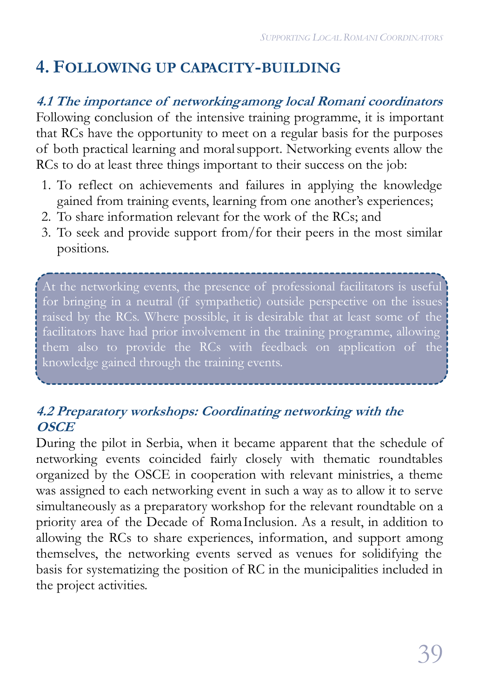# **4. FOLLOWING UP CAPACITY-BUILDING**

**4.1 The importance of networkingamong local Romani coordinators**

Following conclusion of the intensive training programme, it is important that RCs have the opportunity to meet on a regular basis for the purposes of both practical learning and moralsupport. Networking events allow the RCs to do at least three things important to their success on the job:

- 1. To reflect on achievements and failures in applying the knowledge gained from training events, learning from one another's experiences;
- 2. To share information relevant for the work of the RCs; and
- 3. To seek and provide support from/for their peers in the most similar positions.

At the networking events, the presence of professional facilitators is useful for bringing in a neutral (if sympathetic) outside perspective on the issues raised by the RCs. Where possible, it is desirable that at least some of the facilitators have had prior involvement in the training programme, allowing them also to provide the RCs with feedback on application of the knowledge gained through the training events.

#### **4.2 Preparatory workshops: Coordinating networking with the OSCE**

During the pilot in Serbia, when it became apparent that the schedule of networking events coincided fairly closely with thematic roundtables organized by the OSCE in cooperation with relevant ministries, a theme was assigned to each networking event in such a way as to allow it to serve simultaneously as a preparatory workshop for the relevant roundtable on a priority area of the Decade of Roma Inclusion. As a result, in addition to allowing the RCs to share experiences, information, and support among themselves, the networking events served as venues for solidifying the basis for systematizing the position of RC in the municipalities included in the project activities.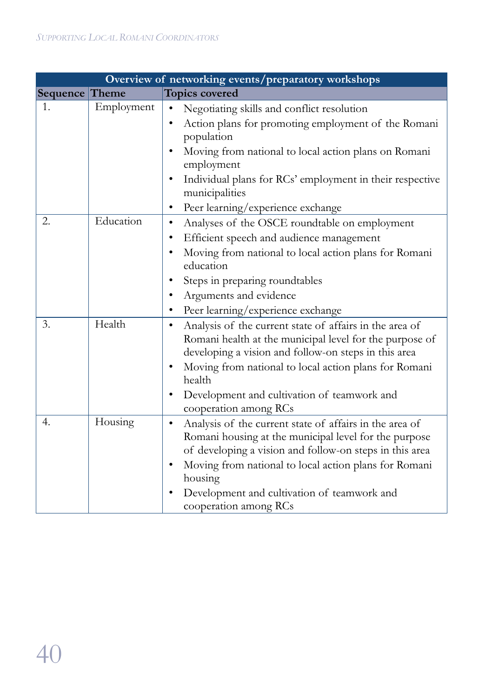| Overview of networking events/preparatory workshops |            |                                                                                                                                                                                                                                                                                                                                    |  |
|-----------------------------------------------------|------------|------------------------------------------------------------------------------------------------------------------------------------------------------------------------------------------------------------------------------------------------------------------------------------------------------------------------------------|--|
| Sequence Theme                                      |            | <b>Topics covered</b>                                                                                                                                                                                                                                                                                                              |  |
| $\mathbf{1}$ .                                      | Employment | Negotiating skills and conflict resolution<br>Action plans for promoting employment of the Romani<br>population<br>Moving from national to local action plans on Romani<br>employment<br>Individual plans for RCs' employment in their respective<br>٠<br>municipalities                                                           |  |
|                                                     |            | Peer learning/experience exchange                                                                                                                                                                                                                                                                                                  |  |
| 2.                                                  | Education  | Analyses of the OSCE roundtable on employment<br>Efficient speech and audience management<br>Moving from national to local action plans for Romani<br>education<br>Steps in preparing roundtables<br>Arguments and evidence<br>Peer learning/experience exchange                                                                   |  |
| 3.                                                  | Health     | Analysis of the current state of affairs in the area of<br>$\bullet$<br>Romani health at the municipal level for the purpose of<br>developing a vision and follow-on steps in this area<br>Moving from national to local action plans for Romani<br>health<br>Development and cultivation of teamwork and<br>cooperation among RCs |  |
| $\overline{4}$ .                                    | Housing    | Analysis of the current state of affairs in the area of<br>Romani housing at the municipal level for the purpose<br>of developing a vision and follow-on steps in this area<br>Moving from national to local action plans for Romani<br>٠<br>housing<br>Development and cultivation of teamwork and<br>cooperation among RCs       |  |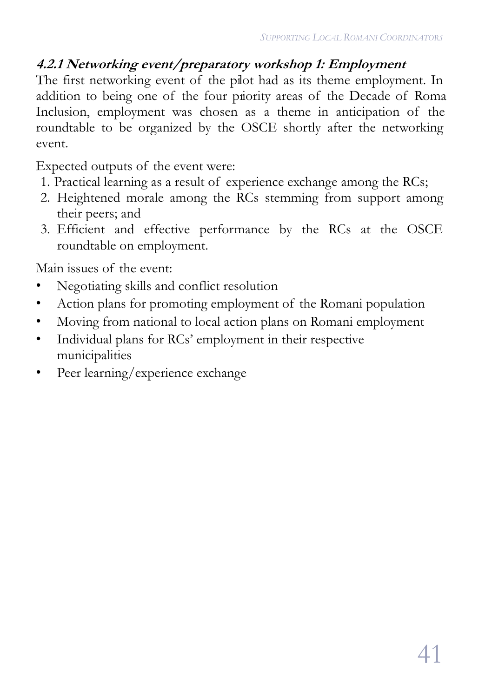### **4.2.1 Networking event/preparatory workshop 1: Employment**

The first networking event of the pilot had as its theme employment. In addition to being one of the four priority areas of the Decade of Roma Inclusion, employment was chosen as a theme in anticipation of the roundtable to be organized by the OSCE shortly after the networking event.

Expected outputs of the event were:

- 1. Practical learning as a result of experience exchange among the RCs;
- 2. Heightened morale among the RCs stemming from support among their peers; and
- 3. Efficient and effective performance by the RCs at the OSCE roundtable on employment.

Main issues of the event:

- Negotiating skills and conflict resolution
- Action plans for promoting employment of the Romani population
- Moving from national to local action plans on Romani employment
- Individual plans for RCs' employment in their respective municipalities
- Peer learning/experience exchange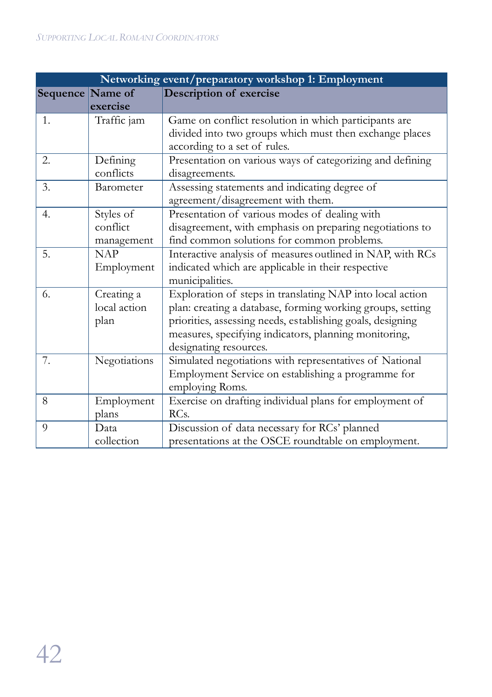| Networking event/preparatory workshop 1: Employment |                                     |                                                                                                                                                                                                                                                                          |  |  |
|-----------------------------------------------------|-------------------------------------|--------------------------------------------------------------------------------------------------------------------------------------------------------------------------------------------------------------------------------------------------------------------------|--|--|
| Sequence Name of                                    |                                     | <b>Description of exercise</b>                                                                                                                                                                                                                                           |  |  |
|                                                     | exercise                            |                                                                                                                                                                                                                                                                          |  |  |
| 1.                                                  | Traffic jam                         | Game on conflict resolution in which participants are<br>divided into two groups which must then exchange places<br>according to a set of rules.                                                                                                                         |  |  |
| 2.                                                  | Defining<br>conflicts               | Presentation on various ways of categorizing and defining<br>disagreements.                                                                                                                                                                                              |  |  |
| 3.                                                  | Barometer                           | Assessing statements and indicating degree of<br>agreement/disagreement with them.                                                                                                                                                                                       |  |  |
| 4.                                                  | Styles of<br>conflict<br>management | Presentation of various modes of dealing with<br>disagreement, with emphasis on preparing negotiations to<br>find common solutions for common problems.                                                                                                                  |  |  |
| 5.                                                  | <b>NAP</b><br>Employment            | Interactive analysis of measures outlined in NAP, with RCs<br>indicated which are applicable in their respective<br>municipalities.                                                                                                                                      |  |  |
| 6.                                                  | Creating a<br>local action<br>plan  | Exploration of steps in translating NAP into local action<br>plan: creating a database, forming working groups, setting<br>priorities, assessing needs, establishing goals, designing<br>measures, specifying indicators, planning monitoring,<br>designating resources. |  |  |
| 7.                                                  | Negotiations                        | Simulated negotiations with representatives of National<br>Employment Service on establishing a programme for<br>employing Roms.                                                                                                                                         |  |  |
| 8                                                   | Employment<br>plans                 | Exercise on drafting individual plans for employment of<br>RC <sub>s</sub> .                                                                                                                                                                                             |  |  |
| 9                                                   | Data<br>collection                  | Discussion of data necessary for RCs' planned<br>presentations at the OSCE roundtable on employment.                                                                                                                                                                     |  |  |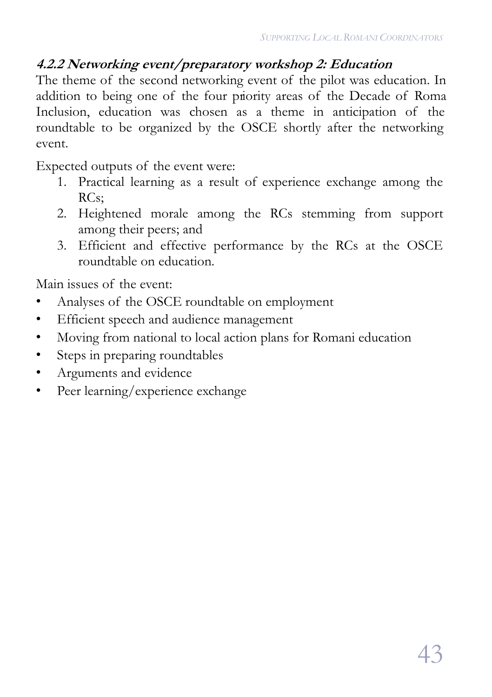### **4.2.2 Networking event/preparatory workshop 2: Education**

The theme of the second networking event of the pilot was education. In addition to being one of the four priority areas of the Decade of Roma Inclusion, education was chosen as a theme in anticipation of the roundtable to be organized by the OSCE shortly after the networking event.

Expected outputs of the event were:

- 1. Practical learning as a result of experience exchange among the RCs;
- 2. Heightened morale among the RCs stemming from support among their peers; and
- 3. Efficient and effective performance by the RCs at the OSCE roundtable on education.

Main issues of the event:

- Analyses of the OSCE roundtable on employment
- Efficient speech and audience management
- Moving from national to local action plans for Romani education
- Steps in preparing roundtables
- Arguments and evidence
- Peer learning/experience exchange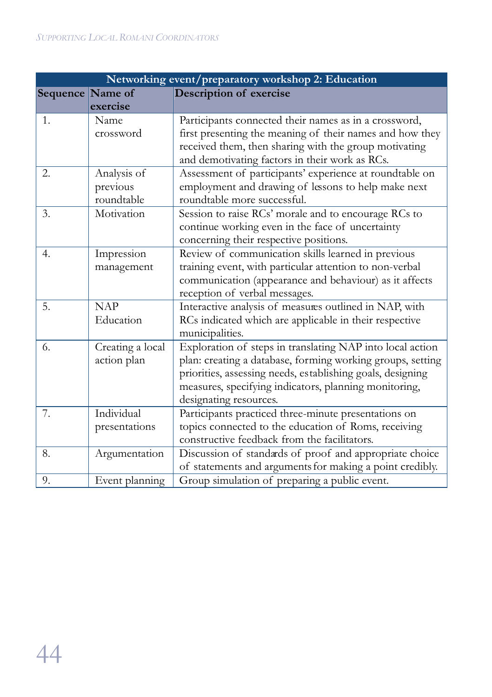|                  | Networking event/preparatory workshop 2: Education |                                                            |  |  |
|------------------|----------------------------------------------------|------------------------------------------------------------|--|--|
| Sequence Name of |                                                    | Description of exercise                                    |  |  |
|                  | exercise                                           |                                                            |  |  |
| 1.               | Name                                               | Participants connected their names as in a crossword,      |  |  |
|                  | crossword                                          | first presenting the meaning of their names and how they   |  |  |
|                  |                                                    | received them, then sharing with the group motivating      |  |  |
|                  |                                                    | and demotivating factors in their work as RCs.             |  |  |
| 2.               | Analysis of                                        | Assessment of participants' experience at roundtable on    |  |  |
|                  | previous                                           | employment and drawing of lessons to help make next        |  |  |
|                  | roundtable                                         | roundtable more successful.                                |  |  |
| 3.               | Motivation                                         | Session to raise RCs' morale and to encourage RCs to       |  |  |
|                  |                                                    | continue working even in the face of uncertainty           |  |  |
|                  |                                                    | concerning their respective positions.                     |  |  |
| 4.               | Impression                                         | Review of communication skills learned in previous         |  |  |
|                  | management                                         | training event, with particular attention to non-verbal    |  |  |
|                  |                                                    | communication (appearance and behaviour) as it affects     |  |  |
|                  |                                                    | reception of verbal messages.                              |  |  |
| 5.               | <b>NAP</b>                                         | Interactive analysis of measures outlined in NAP, with     |  |  |
|                  | Education                                          | RCs indicated which are applicable in their respective     |  |  |
|                  |                                                    | municipalities.                                            |  |  |
| 6.               | Creating a local                                   | Exploration of steps in translating NAP into local action  |  |  |
|                  | action plan                                        | plan: creating a database, forming working groups, setting |  |  |
|                  |                                                    | priorities, assessing needs, establishing goals, designing |  |  |
|                  |                                                    | measures, specifying indicators, planning monitoring,      |  |  |
|                  |                                                    | designating resources.                                     |  |  |
| 7.               | Individual                                         | Participants practiced three-minute presentations on       |  |  |
|                  | presentations                                      | topics connected to the education of Roms, receiving       |  |  |
|                  |                                                    | constructive feedback from the facilitators.               |  |  |
| 8.               | Argumentation                                      | Discussion of standards of proof and appropriate choice    |  |  |
|                  |                                                    | of statements and arguments for making a point credibly.   |  |  |
| 9.               | Event planning                                     | Group simulation of preparing a public event.              |  |  |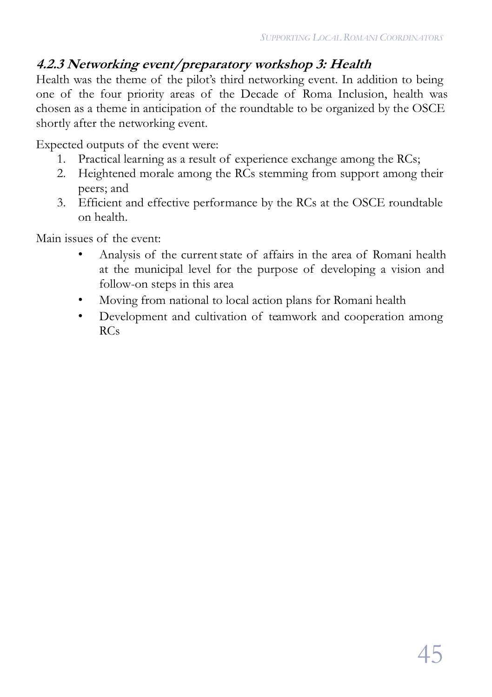### **4.2.3 Networking event/preparatory workshop 3: Health**

Health was the theme of the pilot's third networking event. In addition to being one of the four priority areas of the Decade of Roma Inclusion, health was chosen as a theme in anticipation of the roundtable to be organized by the OSCE shortly after the networking event.

Expected outputs of the event were:

- 1. Practical learning as a result of experience exchange among the RCs;
- 2. Heightened morale among the RCs stemming from support among their peers; and
- 3. Efficient and effective performance by the RCs at the OSCE roundtable on health.

Main issues of the event:

- Analysis of the current state of affairs in the area of Romani health at the municipal level for the purpose of developing a vision and follow-on steps in this area
- Moving from national to local action plans for Romani health
- Development and cultivation of teamwork and cooperation among  $RCs$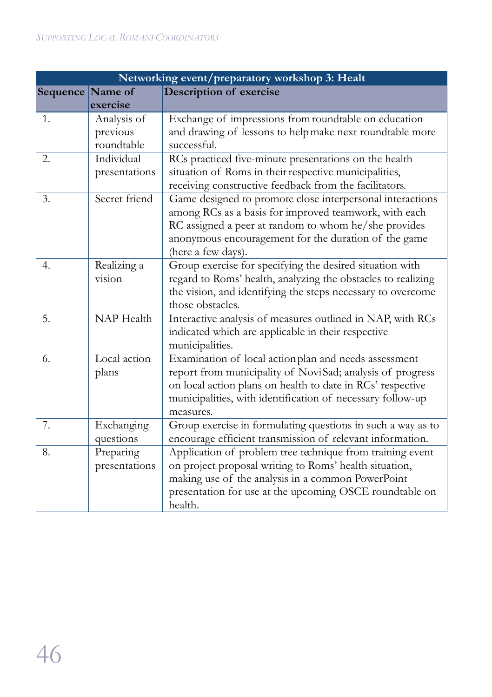| Networking event/preparatory workshop 3: Healt |                   |                                                              |  |
|------------------------------------------------|-------------------|--------------------------------------------------------------|--|
| Sequence Name of                               |                   | Description of exercise                                      |  |
|                                                | exercise          |                                                              |  |
| 1.                                             | Analysis of       | Exchange of impressions from roundtable on education         |  |
|                                                | previous          | and drawing of lessons to help make next roundtable more     |  |
|                                                | roundtable        | successful.                                                  |  |
| 2.                                             | Individual        | RCs practiced five-minute presentations on the health        |  |
|                                                | presentations     | situation of Roms in their respective municipalities,        |  |
|                                                |                   | receiving constructive feedback from the facilitators.       |  |
| 3.                                             | Secret friend     | Game designed to promote close interpersonal interactions    |  |
|                                                |                   | among RCs as a basis for improved teamwork, with each        |  |
|                                                |                   | RC assigned a peer at random to whom he/she provides         |  |
|                                                |                   | anonymous encouragement for the duration of the game         |  |
|                                                |                   | (here a few days).                                           |  |
| 4.                                             | Realizing a       | Group exercise for specifying the desired situation with     |  |
|                                                | vision            | regard to Roms' health, analyzing the obstacles to realizing |  |
|                                                |                   | the vision, and identifying the steps necessary to overcome  |  |
|                                                |                   | those obstacles.                                             |  |
| 5.                                             | <b>NAP</b> Health | Interactive analysis of measures outlined in NAP, with RCs   |  |
|                                                |                   | indicated which are applicable in their respective           |  |
|                                                |                   | municipalities.                                              |  |
| 6.                                             | Local action      | Examination of local actionplan and needs assessment         |  |
|                                                | plans             | report from municipality of NoviSad; analysis of progress    |  |
|                                                |                   | on local action plans on health to date in RCs' respective   |  |
|                                                |                   | municipalities, with identification of necessary follow-up   |  |
|                                                |                   | measures.                                                    |  |
| 7.                                             | Exchanging        | Group exercise in formulating questions in such a way as to  |  |
|                                                | questions         | encourage efficient transmission of relevant information.    |  |
| 8.                                             | Preparing         | Application of problem tree technique from training event    |  |
|                                                | presentations     | on project proposal writing to Roms' health situation,       |  |
|                                                |                   | making use of the analysis in a common PowerPoint            |  |
|                                                |                   | presentation for use at the upcoming OSCE roundtable on      |  |
|                                                |                   | health.                                                      |  |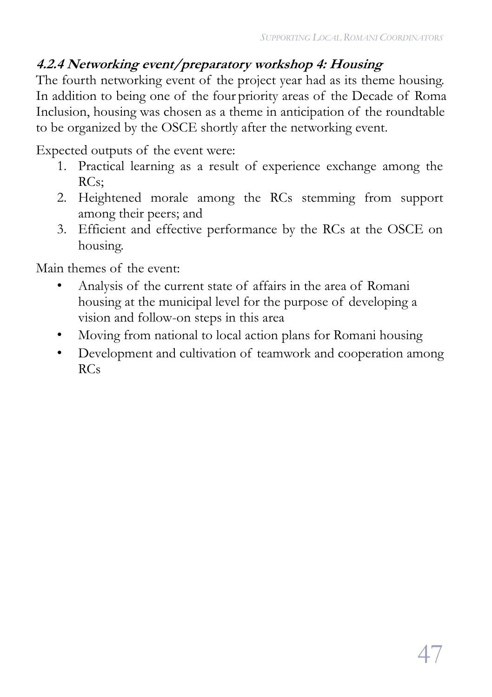### **4.2.4 Networking event/preparatory workshop 4: Housing**

The fourth networking event of the project year had as its theme housing. In addition to being one of the four priority areas of the Decade of Roma Inclusion, housing was chosen as a theme in anticipation of the roundtable to be organized by the OSCE shortly after the networking event.

Expected outputs of the event were:

- 1. Practical learning as a result of experience exchange among the RCs;
- 2. Heightened morale among the RCs stemming from support among their peers; and
- 3. Efficient and effective performance by the RCs at the OSCE on housing.

Main themes of the event:

- Analysis of the current state of affairs in the area of Romani housing at the municipal level for the purpose of developing a vision and follow-on steps in this area
- Moving from national to local action plans for Romani housing
- Development and cultivation of teamwork and cooperation among RCs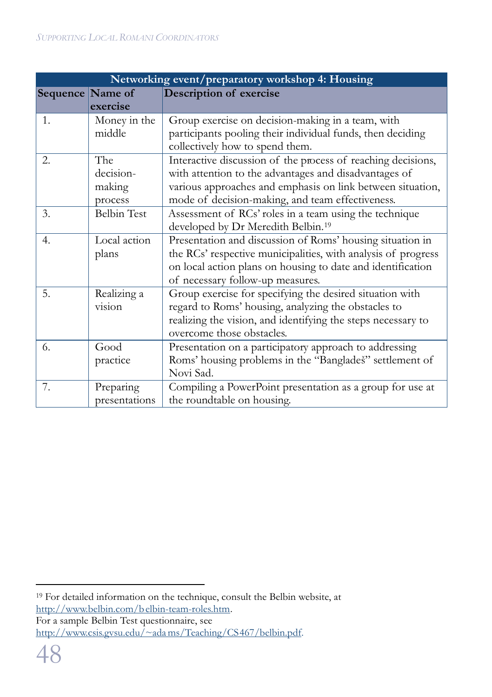| Networking event/preparatory workshop 4: Housing |                                       |                                                                                                                                                                                                                                         |  |  |
|--------------------------------------------------|---------------------------------------|-----------------------------------------------------------------------------------------------------------------------------------------------------------------------------------------------------------------------------------------|--|--|
| Sequence Name of                                 |                                       | Description of exercise                                                                                                                                                                                                                 |  |  |
|                                                  | exercise                              |                                                                                                                                                                                                                                         |  |  |
| 1.                                               | Money in the<br>middle                | Group exercise on decision-making in a team, with<br>participants pooling their individual funds, then deciding<br>collectively how to spend them.                                                                                      |  |  |
| 2.                                               | The<br>decision-<br>making<br>process | Interactive discussion of the process of reaching decisions,<br>with attention to the advantages and disadvantages of<br>various approaches and emphasis on link between situation,<br>mode of decision-making, and team effectiveness. |  |  |
| 3.                                               | <b>Belbin Test</b>                    | Assessment of RCs' roles in a team using the technique<br>developed by Dr Meredith Belbin. <sup>19</sup>                                                                                                                                |  |  |
| 4.                                               | Local action<br>plans                 | Presentation and discussion of Roms' housing situation in<br>the RCs' respective municipalities, with analysis of progress<br>on local action plans on housing to date and identification<br>of necessary follow-up measures.           |  |  |
| 5.                                               | Realizing a<br>vision                 | Group exercise for specifying the desired situation with<br>regard to Roms' housing, analyzing the obstacles to<br>realizing the vision, and identifying the steps necessary to<br>overcome those obstacles.                            |  |  |
| 6.                                               | Good<br>practice                      | Presentation on a participatory approach to addressing<br>Roms' housing problems in the "Banglades" settlement of<br>Novi Sad.                                                                                                          |  |  |
| 7.                                               | Preparing<br>presentations            | Compiling a PowerPoint presentation as a group for use at<br>the roundtable on housing.                                                                                                                                                 |  |  |

http://www.csis.gvsu.edu/~adams/Teaching/CS467/belbin.pdf.

 $\overline{a}$ <sup>19</sup> For detailed information on the technique, consult the Belbin website, at http://www.belbin.com/belbin-team-roles.htm. For a sample Belbin Test questionnaire, see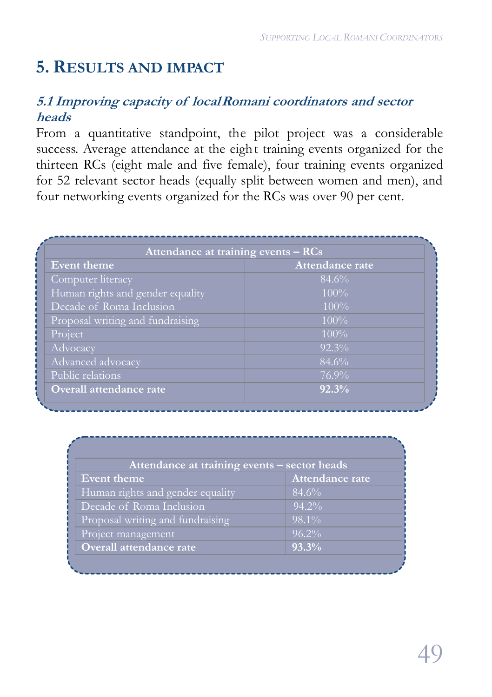# **5. RESULTS AND IMPACT**

#### **5.1 Improving capacity of localRomani coordinators and sector heads**

From a quantitative standpoint, the pilot project was a considerable success. Average attendance at the eight training events organized for the thirteen RCs (eight male and five female), four training events organized for 52 relevant sector heads (equally split between women and men), and four networking events organized for the RCs was over 90 per cent.

| Attendance at training events $- RCs$ |                        |  |
|---------------------------------------|------------------------|--|
| Event theme                           | <b>Attendance rate</b> |  |
| Computer literacy                     | 84.6%                  |  |
| Human rights and gender equality      | $100\%$                |  |
| Decade of Roma Inclusion              | $100\%$                |  |
| Proposal writing and fundraising      | $100\%$                |  |
| Project                               | $100\%$                |  |
| Advocacy                              | $\sqrt{92.3}$ %        |  |
| Advanced advocacy                     | 84.6%                  |  |
| Public relations                      | $76.9\%$               |  |
| Overall attendance rate               | 92.3%                  |  |

| Attendance at training events - sector heads |                 |  |  |
|----------------------------------------------|-----------------|--|--|
| Event theme                                  | Attendance rate |  |  |
| Human rights and gender equality             | 84.6%           |  |  |
| Decade of Roma Inclusion                     | $94.2\%$        |  |  |
| Proposal writing and fundraising             | $98.1\%$        |  |  |
| Project management                           | $96.2\%$        |  |  |
| Overall attendance rate                      | 93.3%           |  |  |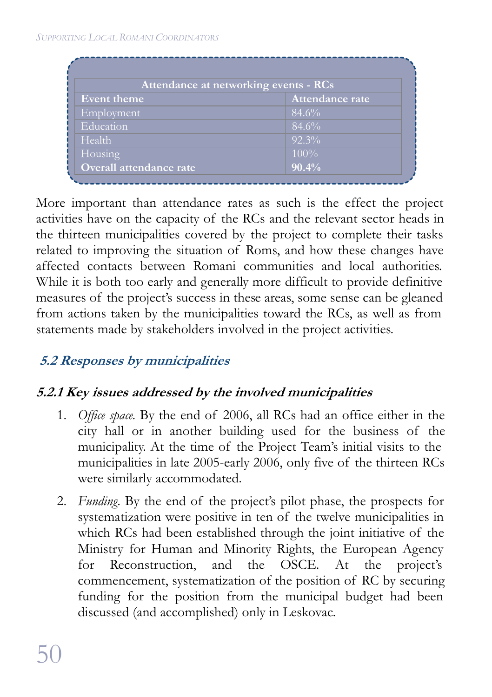|                         | Attendance at networking events - RCs |
|-------------------------|---------------------------------------|
| Event theme             | <b>Attendance rate</b>                |
| Employment              | 84.6%                                 |
| Education               | 84.6%                                 |
| Health                  | $92.3\%$                              |
| Housing                 | $100\%$                               |
| Overall attendance rate | 90.4%                                 |

More important than attendance rates as such is the effect the project activities have on the capacity of the RCs and the relevant sector heads in the thirteen municipalities covered by the project to complete their tasks related to improving the situation of Roms, and how these changes have affected contacts between Romani communities and local authorities. While it is both too early and generally more difficult to provide definitive measures of the project's success in these areas, some sense can be gleaned from actions taken by the municipalities toward the RCs, as well as from statements made by stakeholders involved in the project activities.

### **5.2 Responses by municipalities**

### **5.2.1 Key issues addressed by the involved municipalities**

- 1. *Office space*. By the end of 2006, all RCs had an office either in the city hall or in another building used for the business of the municipality. At the time of the Project Team's initial visits to the municipalities in late 2005-early 2006, only five of the thirteen RCs were similarly accommodated.
- 2. *Funding*. By the end of the project's pilot phase, the prospects for systematization were positive in ten of the twelve municipalities in which RCs had been established through the joint initiative of the Ministry for Human and Minority Rights, the European Agency for Reconstruction, and the OSCE. At the project's commencement, systematization of the position of RC by securing funding for the position from the municipal budget had been discussed (and accomplished) only in Leskovac.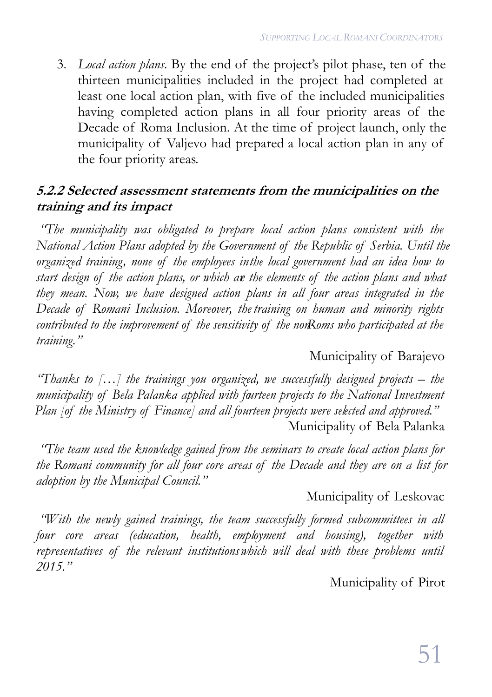3. *Local action plans*. By the end of the project's pilot phase, ten of the thirteen municipalities included in the project had completed at least one local action plan, with five of the included municipalities having completed action plans in all four priority areas of the Decade of Roma Inclusion. At the time of project launch, only the municipality of Valjevo had prepared a local action plan in any of the four priority areas.

#### **5.2.2 Selected assessment statements from the municipalities on the training and its impact**

 *"The municipality was obligated to prepare local action plans consistent with the National Action Plans adopted by the Government of the Republic of Serbia. Until the organized training, none of the employees in the local government had an idea how to start design of the action plans, or which are the elements of the action plans and what they mean. Now, we have designed action plans in all four areas integrated in the Decade of Romani Inclusion. Moreover, the training on human and minority rights contributed to the improvement of the sensitivity of the non-Roms who participated at the training."*

#### Municipality of Barajevo

*"Thanks to […] the trainings you organized, we successfully designed projects – the municipality of Bela Palanka applied with fourteen projects to the National Investment Plan [of the Ministry of Finance] and all fourteen projects were selected and approved."* Municipality of Bela Palanka

 *"The team used the knowledge gained from the seminars to create local action plans for the Romani community for all four core areas of the Decade and they are on a list for adoption by the Municipal Council."*

#### Municipality of Leskovac

 *"With the newly gained trainings, the team successfully formed subcommittees in all four core areas (education, health, employment and housing), together with representatives of the relevant institutions which will deal with these problems until 2015."*

Municipality of Pirot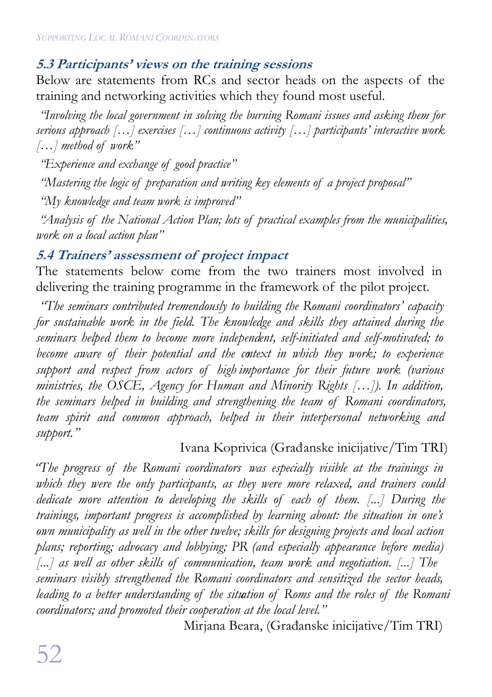#### **5.3 Participants' views on the training sessions**

Below are statements from RCs and sector heads on the aspects of the training and networking activities which they found most useful.

 *"Involving the local government in solving the burning Romani issues and asking them for serious approach […] exercises […] continuous activity […] participants' interactive work […] method of work"*

 *"Experience and exchange of good practice"*

 *"Mastering the logic of preparation and writing key elements of a project proposal"*

 *"My knowledge and team work is improved"*

 *"Analysis of the National Action Plan; lots of practical examples from the municipalities, work on a local action plan"*

#### **5.4 Trainers' assessment of project impact**

The statements below come from the two trainers most involved in delivering the training programme in the framework of the pilot project.

 *"The seminars contributed tremendously to building the Romani coordinators' capacity for sustainable work in the field. The knowledge and skills they attained during the seminars helped them to become more independent, self-initiated and self-motivated; to become aware of their potential and the context in which they work; to experience support and respect from actors of high importance for their future work (various ministries, the OSCE, Agency for Human and Minority Rights […]). In addition, the seminars helped in building and strengthening the team of Romani coordinators, team spirit and common approach, helped in their interpersonal networking and support."* 

#### Ivana Koprivica (Građanske inicijative/Tim TRI)

*"The progress of the Romani coordinators was especially visible at the trainings in which they were the only participants, as they were more relaxed, and trainers could dedicate more attention to developing the skills of each of them. [...] During the trainings, important progress is accomplished by learning about: the situation in one's own municipality as well in the other twelve; skills for designing projects and local action plans; reporting; advocacy and lobbying; PR (and especially appearance before media) [...] as well as other skills of communication, team work and negotiation. [...] The seminars visibly strengthened the Romani coordinators and sensitized the sector heads, leading to a better understanding of the situation of Roms and the roles of the Romani coordinators; and promoted their cooperation at the local level."*

Mirjana Beara, (Građanske inicijative/Tim TRI)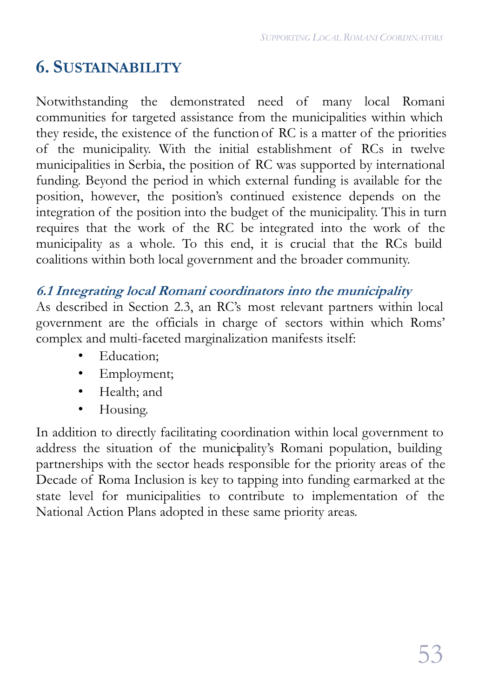# **6. SUSTAINABILITY**

Notwithstanding the demonstrated need of many local Romani communities for targeted assistance from the municipalities within which they reside, the existence of the function of RC is a matter of the priorities of the municipality. With the initial establishment of RCs in twelve municipalities in Serbia, the position of RC was supported by international funding. Beyond the period in which external funding is available for the position, however, the position's continued existence depends on the integration of the position into the budget of the municipality. This in turn requires that the work of the RC be integrated into the work of the municipality as a whole. To this end, it is crucial that the RCs build coalitions within both local government and the broader community.

#### **6.1 Integrating local Romani coordinators into the municipality**

As described in Section 2.3, an RC's most relevant partners within local government are the officials in charge of sectors within which Roms' complex and multi-faceted marginalization manifests itself:

- Education:
- Employment;
- Health; and
- Housing.

In addition to directly facilitating coordination within local government to address the situation of the municipality's Romani population, building partnerships with the sector heads responsible for the priority areas of the Decade of Roma Inclusion is key to tapping into funding earmarked at the state level for municipalities to contribute to implementation of the National Action Plans adopted in these same priority areas.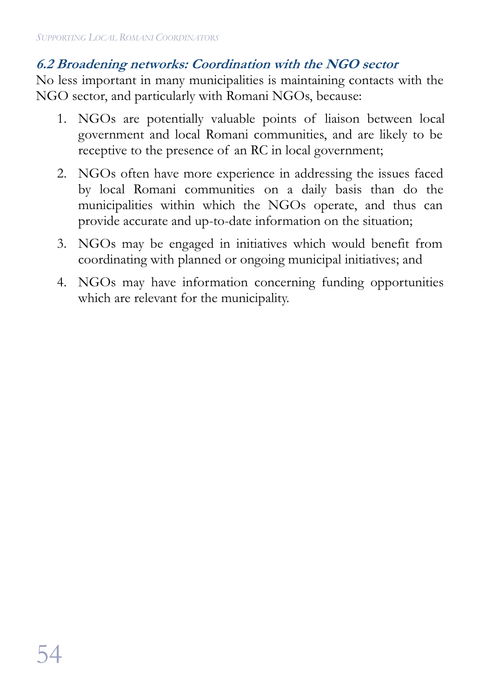#### **6.2 Broadening networks: Coordination with the NGO sector**

No less important in many municipalities is maintaining contacts with the NGO sector, and particularly with Romani NGOs, because:

- 1. NGOs are potentially valuable points of liaison between local government and local Romani communities, and are likely to be receptive to the presence of an RC in local government;
- 2. NGOs often have more experience in addressing the issues faced by local Romani communities on a daily basis than do the municipalities within which the NGOs operate, and thus can provide accurate and up-to-date information on the situation;
- 3. NGOs may be engaged in initiatives which would benefit from coordinating with planned or ongoing municipal initiatives; and
- 4. NGOs may have information concerning funding opportunities which are relevant for the municipality.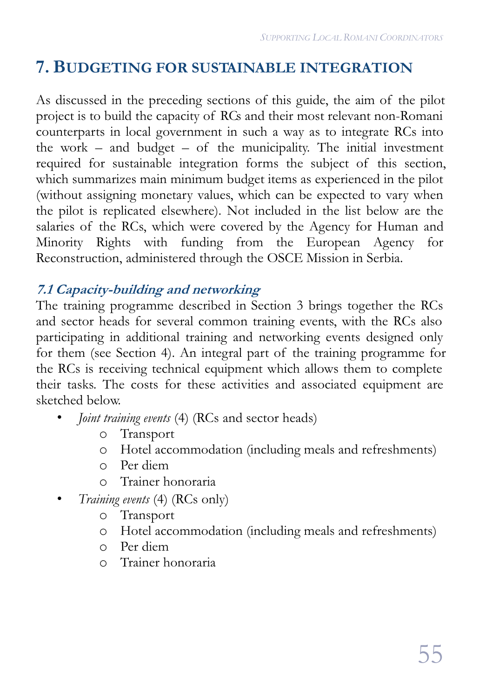# **7. BUDGETING FOR SUSTAINABLE INTEGRATION**

As discussed in the preceding sections of this guide, the aim of the pilot project is to build the capacity of RCs and their most relevant non-Romani counterparts in local government in such a way as to integrate RCs into the work – and budget – of the municipality. The initial investment required for sustainable integration forms the subject of this section, which summarizes main minimum budget items as experienced in the pilot (without assigning monetary values, which can be expected to vary when the pilot is replicated elsewhere). Not included in the list below are the salaries of the RCs, which were covered by the Agency for Human and Minority Rights with funding from the European Agency for Reconstruction, administered through the OSCE Mission in Serbia.

#### **7.1 Capacity-building and networking**

The training programme described in Section 3 brings together the RCs and sector heads for several common training events, with the RCs also participating in additional training and networking events designed only for them (see Section 4). An integral part of the training programme for the RCs is receiving technical equipment which allows them to complete their tasks. The costs for these activities and associated equipment are sketched below.

- *Joint training events* (4) (RCs and sector heads)
	- o Transport
	- o Hotel accommodation (including meals and refreshments)
	- o Per diem
	- o Trainer honoraria
- *Training events* (4) (RCs only)
	- o Transport
	- o Hotel accommodation (including meals and refreshments)
	- o Per diem
	- o Trainer honoraria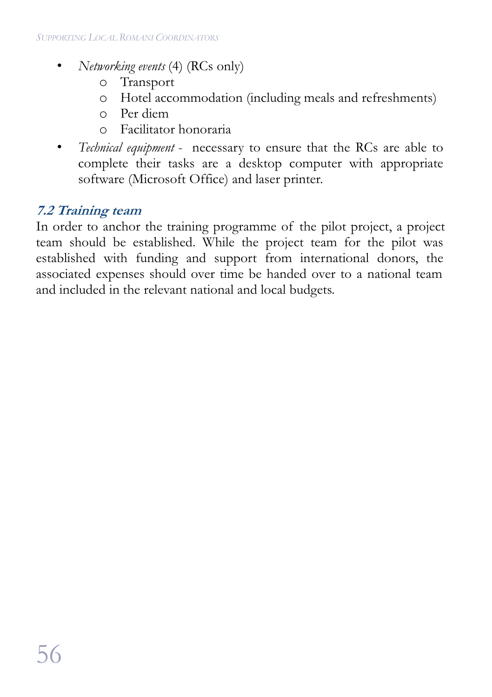- *Networking events* (4) (RCs only)
	- o Transport
	- o Hotel accommodation (including meals and refreshments)
	- o Per diem
	- o Facilitator honoraria
- *Technical equipment* necessary to ensure that the RCs are able to complete their tasks are a desktop computer with appropriate software (Microsoft Office) and laser printer.

#### **7.2 Training team**

In order to anchor the training programme of the pilot project, a project team should be established. While the project team for the pilot was established with funding and support from international donors, the associated expenses should over time be handed over to a national team and included in the relevant national and local budgets.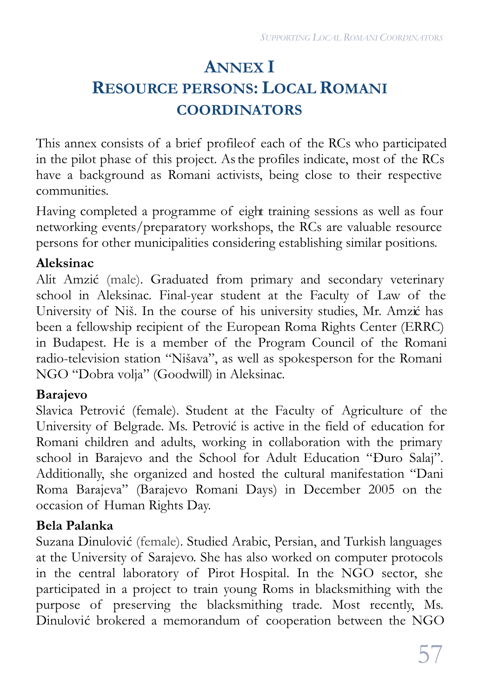# **ANNEX I RESOURCE PERSONS: LOCAL ROMANI COORDINATORS**

This annex consists of a brief profile of each of the RCs who participated in the pilot phase of this project. As the profiles indicate, most of the RCs have a background as Romani activists, being close to their respective communities.

Having completed a programme of eight training sessions as well as four networking events/preparatory workshops, the RCs are valuable resource persons for other municipalities considering establishing similar positions.

#### **Aleksinac**

Alit Amzić (male). Graduated from primary and secondary veterinary school in Aleksinac. Final-year student at the Faculty of Law of the University of Niš. In the course of his university studies, Mr. Amzić has been a fellowship recipient of the European Roma Rights Center (ERRC) in Budapest. He is a member of the Program Council of the Romani radio-television station "Nišava", as well as spokesperson for the Romani NGO "Dobra volja" (Goodwill) in Aleksinac.

#### **Barajevo**

Slavica Petrović (female). Student at the Faculty of Agriculture of the University of Belgrade. Ms. Petrović is active in the field of education for Romani children and adults, working in collaboration with the primary school in Barajevo and the School for Adult Education "Đuro Salaj". Additionally, she organized and hosted the cultural manifestation "Dani Roma Barajeva" (Barajevo Romani Days) in December 2005 on the occasion of Human Rights Day.

#### **Bela Palanka**

Suzana Dinulović (female). Studied Arabic, Persian, and Turkish languages at the University of Sarajevo. She has also worked on computer protocols in the central laboratory of Pirot Hospital. In the NGO sector, she participated in a project to train young Roms in blacksmithing with the purpose of preserving the blacksmithing trade. Most recently, Ms. Dinulović brokered a memorandum of cooperation between the NGO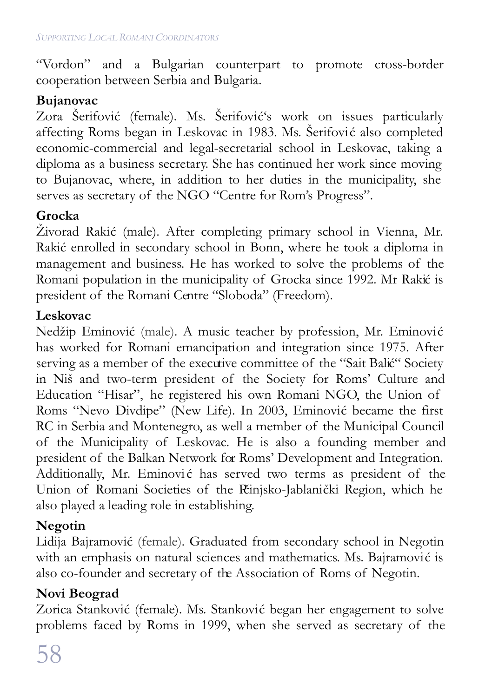"Vordon" and a Bulgarian counterpart to promote cross-border cooperation between Serbia and Bulgaria.

#### **Bujanovac**

Zora Šerifović (female). Ms. Šerifović's work on issues particularly affecting Roms began in Leskovac in 1983. Ms. Šerifović also completed economic-commercial and legal-secretarial school in Leskovac, taking a diploma as a business secretary. She has continued her work since moving to Bujanovac, where, in addition to her duties in the municipality, she serves as secretary of the NGO "Centre for Rom's Progress".

#### **Grocka**

Živorad Rakić (male). After completing primary school in Vienna, Mr. Rakić enrolled in secondary school in Bonn, where he took a diploma in management and business. He has worked to solve the problems of the Romani population in the municipality of Grocka since 1992. Mr Rakić is president of the Romani Centre "Sloboda" (Freedom).

#### **Leskovac**

Nedžip Eminović (male). A music teacher by profession, Mr. Eminović has worked for Romani emancipation and integration since 1975. After serving as a member of the executive committee of the "Sait Balić" Society in Niš and two-term president of the Society for Roms' Culture and Education "Hisar", he registered his own Romani NGO, the Union of Roms "Nevo Đivdipe" (New Life). In 2003, Eminović became the first RC in Serbia and Montenegro, as well a member of the Municipal Council of the Municipality of Leskovac. He is also a founding member and president of the Balkan Network for Roms' Development and Integration. Additionally, Mr. Eminović has served two terms as president of the Union of Romani Societies of the Pčinjsko-Jablanički Region, which he also played a leading role in establishing.

#### **Negotin**

Lidija Bajramović (female). Graduated from secondary school in Negotin with an emphasis on natural sciences and mathematics. Ms. Bajramović is also co-founder and secretary of the Association of Roms of Negotin.

#### **Novi Beograd**

Zorica Stanković (female). Ms. Stanković began her engagement to solve problems faced by Roms in 1999, when she served as secretary of the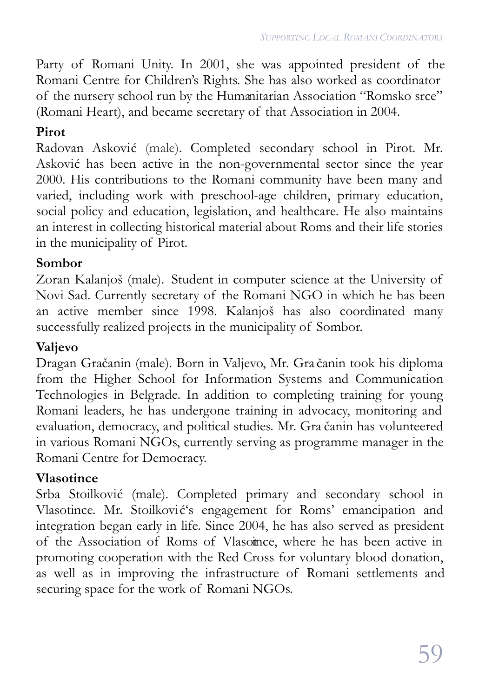Party of Romani Unity. In 2001, she was appointed president of the Romani Centre for Children's Rights. She has also worked as coordinator of the nursery school run by the Humanitarian Association "Romsko srce" (Romani Heart), and became secretary of that Association in 2004.

#### **Pirot**

Radovan Asković (male). Completed secondary school in Pirot. Mr. Asković has been active in the non-governmental sector since the year 2000. His contributions to the Romani community have been many and varied, including work with preschool-age children, primary education, social policy and education, legislation, and healthcare. He also maintains an interest in collecting historical material about Roms and their life stories in the municipality of Pirot.

#### **Sombor**

Zoran Kalanjoš (male). Student in computer science at the University of Novi Sad. Currently secretary of the Romani NGO in which he has been an active member since 1998. Kalanjoš has also coordinated many successfully realized projects in the municipality of Sombor.

#### **Valjevo**

Dragan Gračanin (male). Born in Valjevo, Mr. Gra čanin took his diploma from the Higher School for Information Systems and Communication Technologies in Belgrade. In addition to completing training for young Romani leaders, he has undergone training in advocacy, monitoring and evaluation, democracy, and political studies. Mr. Gra čanin has volunteered in various Romani NGOs, currently serving as programme manager in the Romani Centre for Democracy.

#### **Vlasotince**

Srba Stoilković (male). Completed primary and secondary school in Vlasotince. Mr. Stoilković's engagement for Roms' emancipation and integration began early in life. Since 2004, he has also served as president of the Association of Roms of Vlasotince, where he has been active in promoting cooperation with the Red Cross for voluntary blood donation, as well as in improving the infrastructure of Romani settlements and securing space for the work of Romani NGOs.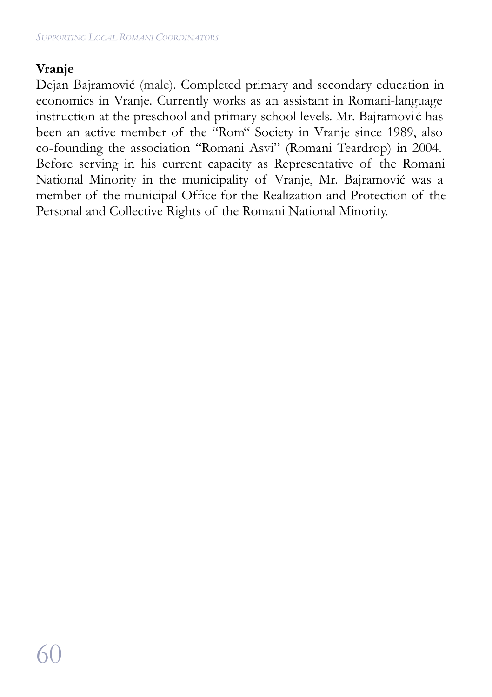#### **Vranje**

Dejan Bajramović (male). Completed primary and secondary education in economics in Vranje. Currently works as an assistant in Romani-language instruction at the preschool and primary school levels. Mr. Bajramović has been an active member of the "Rom" Society in Vranje since 1989, also co-founding the association "Romani Asvi" (Romani Teardrop) in 2004. Before serving in his current capacity as Representative of the Romani National Minority in the municipality of Vranje, Mr. Bajramović was a member of the municipal Office for the Realization and Protection of the Personal and Collective Rights of the Romani National Minority.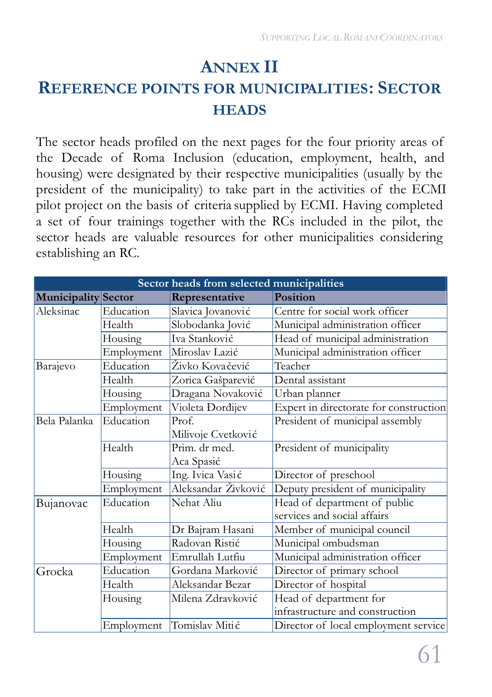# **ANNEX II REFERENCE POINTS FOR MUNICIPALITIES: SECTOR HEADS**

The sector heads profiled on the next pages for the four priority areas of the Decade of Roma Inclusion (education, employment, health, and housing) were designated by their respective municipalities (usually by the president of the municipality) to take part in the activities of the ECMI pilot project on the basis of criteria supplied by ECMI. Having completed a set of four trainings together with the RCs included in the pilot, the sector heads are valuable resources for other municipalities considering establishing an RC.

| Sector heads from selected municipalities |            |                     |                                        |
|-------------------------------------------|------------|---------------------|----------------------------------------|
| Municipality Sector                       |            | Representative      | Position                               |
| Aleksinac                                 | Education  | Slavica Jovanović   | Centre for social work officer         |
|                                           | Health     | Slobodanka Jović    | Municipal administration officer       |
|                                           | Housing    | Iva Stanković       | Head of municipal administration       |
|                                           | Employment | Miroslav Lazić      | Municipal administration officer       |
| Barajevo                                  | Education  | Živko Kovačević     | Teacher                                |
|                                           | Health     | Zorica Gašparević   | Dental assistant                       |
|                                           | Housing    | Dragana Novaković   | Urban planner                          |
|                                           | Employment | Violeta Dorđijev    | Expert in directorate for construction |
| Bela Palanka                              | Education  | Prof.               | President of municipal assembly        |
|                                           |            | Milivoje Cvetković  |                                        |
|                                           | Health     | Prim. dr med.       | President of municipality              |
|                                           |            | Aca Spasić          |                                        |
|                                           | Housing    | Ing. Ivica Vasić    | Director of preschool                  |
|                                           | Employment | Aleksandar Živković | Deputy president of municipality       |
| Bujanovac                                 | Education  | Nehat Aliu          | Head of department of public           |
|                                           |            |                     | services and social affairs            |
|                                           | Health     | Dr Bajram Hasani    | Member of municipal council            |
|                                           | Housing    | Radovan Ristić      | Municipal ombudsman                    |
|                                           | Employment | Emrullah Lutfiu     | Municipal administration officer       |
| Grocka                                    | Education  | Gordana Marković    | Director of primary school             |
|                                           | Health     | Aleksandar Bezar    | Director of hospital                   |
|                                           | Housing    | Milena Zdravković   | Head of department for                 |
|                                           |            |                     | infrastructure and construction        |
|                                           | Employment | Tomislav Mitić      | Director of local employment service   |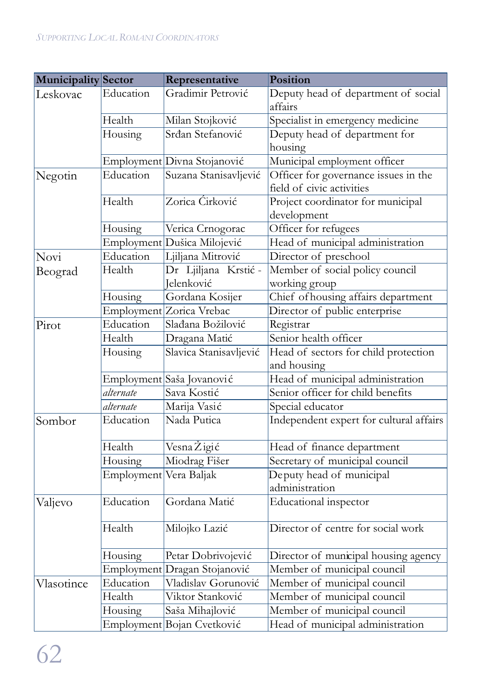| Municipality Sector |                        | Representative               | Position                                |
|---------------------|------------------------|------------------------------|-----------------------------------------|
| Leskovac            | Education              | Gradimir Petrović            | Deputy head of department of social     |
|                     |                        |                              | affairs                                 |
|                     | Health                 | Milan Stojković              | Specialist in emergency medicine        |
|                     | Housing                | Srđan Stefanović             | Deputy head of department for           |
|                     |                        |                              | housing                                 |
|                     |                        | Employment Divna Stojanović  | Municipal employment officer            |
| Negotin             | Education              | Suzana Stanisavljević        | Officer for governance issues in the    |
|                     |                        |                              | field of civic activities               |
|                     | Health                 | Zorica Ćirković              | Project coordinator for municipal       |
|                     |                        |                              | development                             |
|                     | Housing                | Verica Crnogorac             | Officer for refugees                    |
|                     |                        | Employment Dušica Milojević  | Head of municipal administration        |
| Novi                | Education              | Ljiljana Mitrović            | Director of preschool                   |
| Beograd             | Health                 | Dr Ljiljana Krstić -         | Member of social policy council         |
|                     |                        | Jelenković                   | working group                           |
|                     | Housing                | Gordana Kosijer              | Chief of housing affairs department     |
|                     |                        | Employment Zorica Vrebac     | Director of public enterprise           |
| Pirot               | Education              | Slađana Božilović            | Registrar                               |
|                     | Health                 | Dragana Matić                | Senior health officer                   |
|                     | Housing                | Slavica Stanisavljević       | Head of sectors for child protection    |
|                     |                        |                              | and housing                             |
|                     |                        | Employment Saša Jovanovi ć   | Head of municipal administration        |
|                     | alternate              | Sava Kostić                  | Senior officer for child benefits       |
|                     | alternate              | Marija Vasić                 | Special educator                        |
| Sombor              | Education              | Nada Putica                  | Independent expert for cultural affairs |
|                     | Health                 | Vesna Žigić                  | Head of finance department              |
|                     | Housing                | Miodrag Fišer                | Secretary of municipal council          |
|                     | Employment Vera Baljak |                              | Deputy head of municipal                |
|                     |                        |                              | administration                          |
| Valjevo             | Education              | Gordana Matić                | Educational inspector                   |
|                     | Health                 | Milojko Lazić                | Director of centre for social work      |
|                     | Housing                | Petar Dobrivojević           | Director of municipal housing agency    |
|                     |                        | Employment Dragan Stojanović | Member of municipal council             |
| Vlasotince          | Education              | Vladislav Gorunović          | Member of municipal council             |
|                     | Health                 | Viktor Stanković             | Member of municipal council             |
|                     | Housing                | Saša Mihajlović              | Member of municipal council             |
|                     |                        | Employment Bojan Cvetković   | Head of municipal administration        |